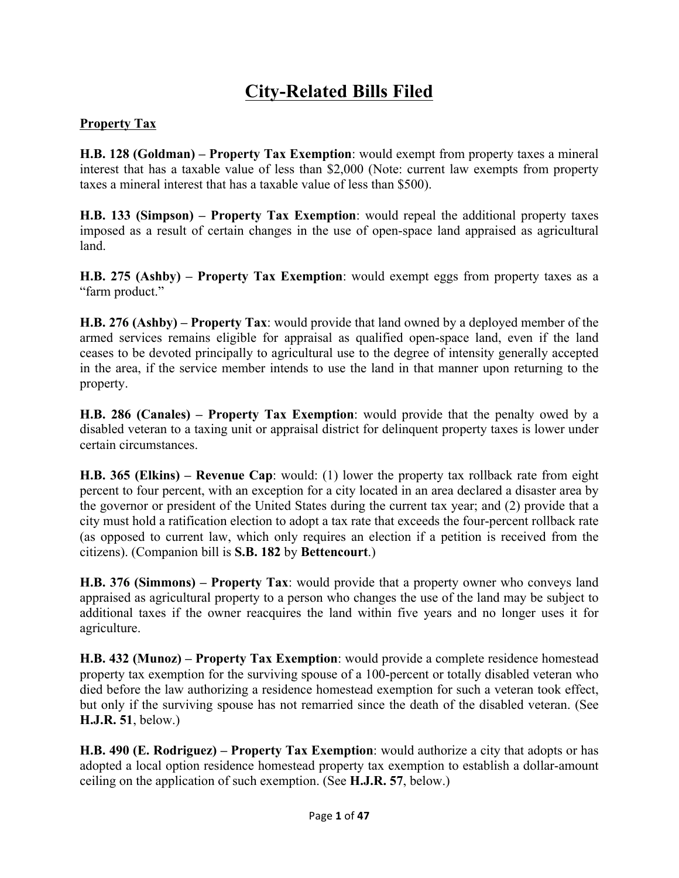# **City-Related Bills Filed**

#### **Property Tax**

**H.B. 128 (Goldman) – Property Tax Exemption**: would exempt from property taxes a mineral interest that has a taxable value of less than \$2,000 (Note: current law exempts from property taxes a mineral interest that has a taxable value of less than \$500).

**H.B. 133 (Simpson) – Property Tax Exemption**: would repeal the additional property taxes imposed as a result of certain changes in the use of open-space land appraised as agricultural land.

**H.B. 275 (Ashby) – Property Tax Exemption**: would exempt eggs from property taxes as a "farm product."

**H.B. 276 (Ashby) – Property Tax**: would provide that land owned by a deployed member of the armed services remains eligible for appraisal as qualified open-space land, even if the land ceases to be devoted principally to agricultural use to the degree of intensity generally accepted in the area, if the service member intends to use the land in that manner upon returning to the property.

**H.B. 286 (Canales) – Property Tax Exemption**: would provide that the penalty owed by a disabled veteran to a taxing unit or appraisal district for delinquent property taxes is lower under certain circumstances.

**H.B. 365 (Elkins) – Revenue Cap**: would: (1) lower the property tax rollback rate from eight percent to four percent, with an exception for a city located in an area declared a disaster area by the governor or president of the United States during the current tax year; and (2) provide that a city must hold a ratification election to adopt a tax rate that exceeds the four-percent rollback rate (as opposed to current law, which only requires an election if a petition is received from the citizens). (Companion bill is **S.B. 182** by **Bettencourt**.)

**H.B. 376 (Simmons) – Property Tax**: would provide that a property owner who conveys land appraised as agricultural property to a person who changes the use of the land may be subject to additional taxes if the owner reacquires the land within five years and no longer uses it for agriculture.

**H.B. 432 (Munoz) – Property Tax Exemption**: would provide a complete residence homestead property tax exemption for the surviving spouse of a 100-percent or totally disabled veteran who died before the law authorizing a residence homestead exemption for such a veteran took effect, but only if the surviving spouse has not remarried since the death of the disabled veteran. (See **H.J.R. 51**, below.)

**H.B. 490 (E. Rodriguez) – Property Tax Exemption**: would authorize a city that adopts or has adopted a local option residence homestead property tax exemption to establish a dollar-amount ceiling on the application of such exemption. (See **H.J.R. 57**, below.)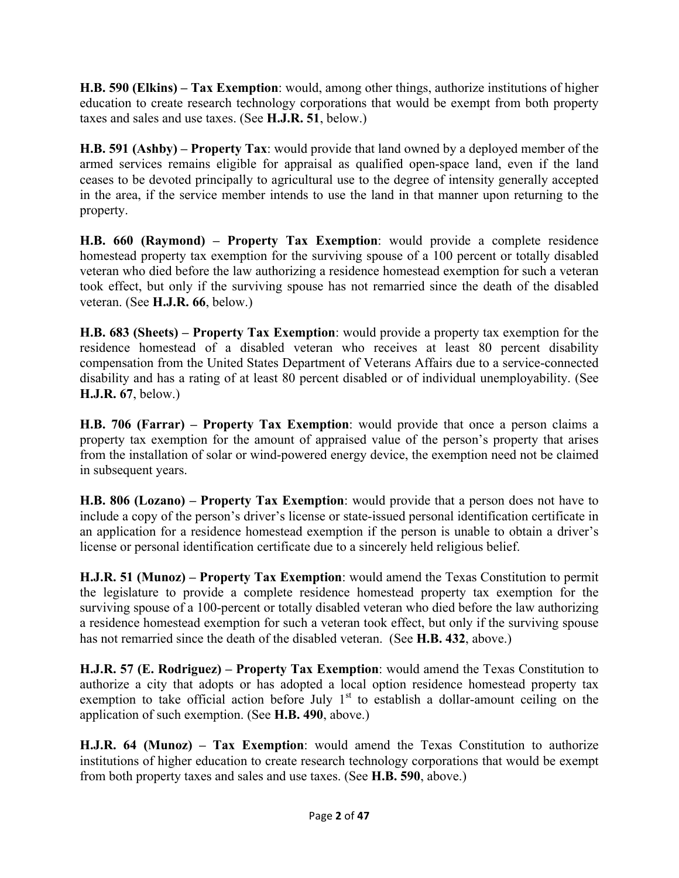**H.B. 590 (Elkins) – Tax Exemption**: would, among other things, authorize institutions of higher education to create research technology corporations that would be exempt from both property taxes and sales and use taxes. (See **H.J.R. 51**, below.)

**H.B. 591 (Ashby) – Property Tax**: would provide that land owned by a deployed member of the armed services remains eligible for appraisal as qualified open-space land, even if the land ceases to be devoted principally to agricultural use to the degree of intensity generally accepted in the area, if the service member intends to use the land in that manner upon returning to the property.

**H.B. 660 (Raymond) – Property Tax Exemption**: would provide a complete residence homestead property tax exemption for the surviving spouse of a 100 percent or totally disabled veteran who died before the law authorizing a residence homestead exemption for such a veteran took effect, but only if the surviving spouse has not remarried since the death of the disabled veteran. (See **H.J.R. 66**, below.)

**H.B. 683 (Sheets) – Property Tax Exemption**: would provide a property tax exemption for the residence homestead of a disabled veteran who receives at least 80 percent disability compensation from the United States Department of Veterans Affairs due to a service-connected disability and has a rating of at least 80 percent disabled or of individual unemployability. (See **H.J.R. 67**, below.)

**H.B. 706 (Farrar) – Property Tax Exemption**: would provide that once a person claims a property tax exemption for the amount of appraised value of the person's property that arises from the installation of solar or wind-powered energy device, the exemption need not be claimed in subsequent years.

**H.B. 806 (Lozano) – Property Tax Exemption**: would provide that a person does not have to include a copy of the person's driver's license or state-issued personal identification certificate in an application for a residence homestead exemption if the person is unable to obtain a driver's license or personal identification certificate due to a sincerely held religious belief.

**H.J.R. 51 (Munoz) – Property Tax Exemption**: would amend the Texas Constitution to permit the legislature to provide a complete residence homestead property tax exemption for the surviving spouse of a 100-percent or totally disabled veteran who died before the law authorizing a residence homestead exemption for such a veteran took effect, but only if the surviving spouse has not remarried since the death of the disabled veteran. (See **H.B. 432**, above.)

**H.J.R. 57 (E. Rodriguez) – Property Tax Exemption**: would amend the Texas Constitution to authorize a city that adopts or has adopted a local option residence homestead property tax exemption to take official action before July  $1<sup>st</sup>$  to establish a dollar-amount ceiling on the application of such exemption. (See **H.B. 490**, above.)

**H.J.R. 64 (Munoz) – Tax Exemption**: would amend the Texas Constitution to authorize institutions of higher education to create research technology corporations that would be exempt from both property taxes and sales and use taxes. (See **H.B. 590**, above.)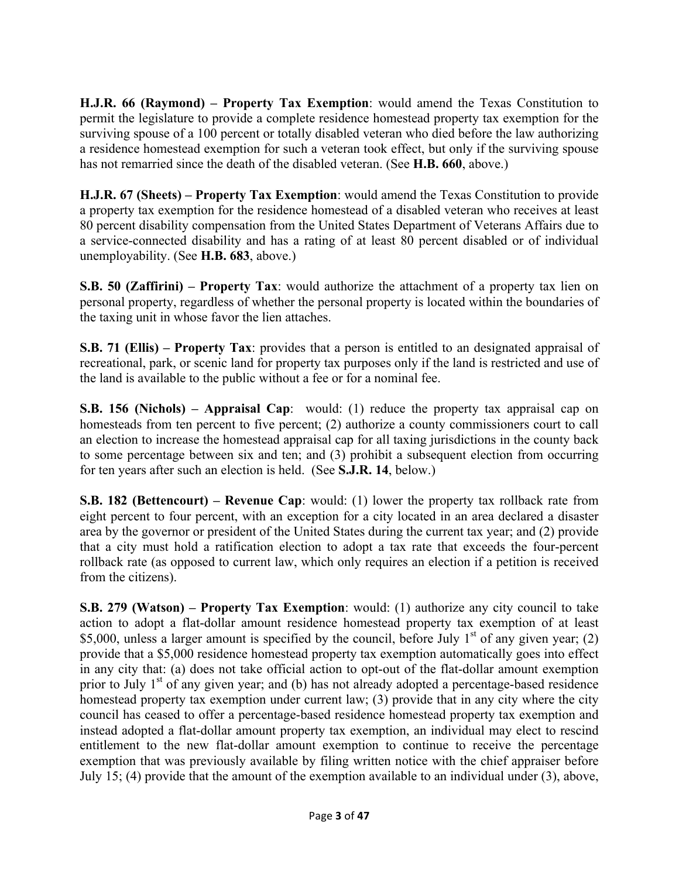**H.J.R. 66 (Raymond) – Property Tax Exemption**: would amend the Texas Constitution to permit the legislature to provide a complete residence homestead property tax exemption for the surviving spouse of a 100 percent or totally disabled veteran who died before the law authorizing a residence homestead exemption for such a veteran took effect, but only if the surviving spouse has not remarried since the death of the disabled veteran. (See **H.B. 660**, above.)

**H.J.R. 67 (Sheets) – Property Tax Exemption**: would amend the Texas Constitution to provide a property tax exemption for the residence homestead of a disabled veteran who receives at least 80 percent disability compensation from the United States Department of Veterans Affairs due to a service-connected disability and has a rating of at least 80 percent disabled or of individual unemployability. (See **H.B. 683**, above.)

**S.B. 50 (Zaffirini) – Property Tax**: would authorize the attachment of a property tax lien on personal property, regardless of whether the personal property is located within the boundaries of the taxing unit in whose favor the lien attaches.

**S.B. 71 (Ellis) – Property Tax**: provides that a person is entitled to an designated appraisal of recreational, park, or scenic land for property tax purposes only if the land is restricted and use of the land is available to the public without a fee or for a nominal fee.

**S.B. 156 (Nichols) – Appraisal Cap**: would: (1) reduce the property tax appraisal cap on homesteads from ten percent to five percent; (2) authorize a county commissioners court to call an election to increase the homestead appraisal cap for all taxing jurisdictions in the county back to some percentage between six and ten; and (3) prohibit a subsequent election from occurring for ten years after such an election is held. (See **S.J.R. 14**, below.)

**S.B. 182 (Bettencourt) – Revenue Cap**: would: (1) lower the property tax rollback rate from eight percent to four percent, with an exception for a city located in an area declared a disaster area by the governor or president of the United States during the current tax year; and (2) provide that a city must hold a ratification election to adopt a tax rate that exceeds the four-percent rollback rate (as opposed to current law, which only requires an election if a petition is received from the citizens).

**S.B. 279 (Watson) – Property Tax Exemption**: would: (1) authorize any city council to take action to adopt a flat-dollar amount residence homestead property tax exemption of at least \$5,000, unless a larger amount is specified by the council, before July  $1<sup>st</sup>$  of any given year; (2) provide that a \$5,000 residence homestead property tax exemption automatically goes into effect in any city that: (a) does not take official action to opt-out of the flat-dollar amount exemption prior to July  $1<sup>st</sup>$  of any given year; and (b) has not already adopted a percentage-based residence homestead property tax exemption under current law; (3) provide that in any city where the city council has ceased to offer a percentage-based residence homestead property tax exemption and instead adopted a flat-dollar amount property tax exemption, an individual may elect to rescind entitlement to the new flat-dollar amount exemption to continue to receive the percentage exemption that was previously available by filing written notice with the chief appraiser before July 15; (4) provide that the amount of the exemption available to an individual under (3), above,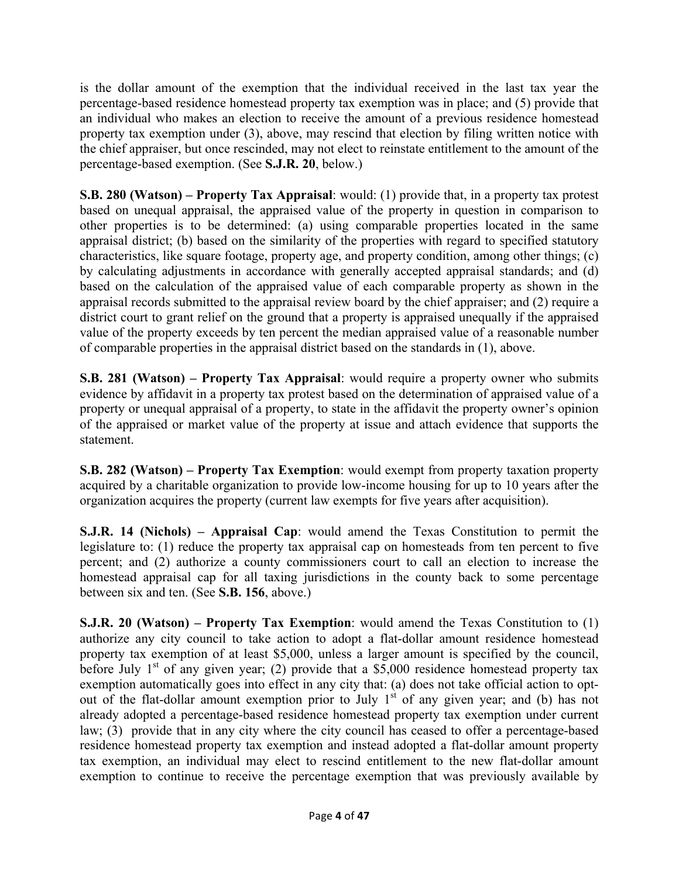is the dollar amount of the exemption that the individual received in the last tax year the percentage-based residence homestead property tax exemption was in place; and (5) provide that an individual who makes an election to receive the amount of a previous residence homestead property tax exemption under (3), above, may rescind that election by filing written notice with the chief appraiser, but once rescinded, may not elect to reinstate entitlement to the amount of the percentage-based exemption. (See **S.J.R. 20**, below.)

**S.B. 280 (Watson) – Property Tax Appraisal**: would: (1) provide that, in a property tax protest based on unequal appraisal, the appraised value of the property in question in comparison to other properties is to be determined: (a) using comparable properties located in the same appraisal district; (b) based on the similarity of the properties with regard to specified statutory characteristics, like square footage, property age, and property condition, among other things; (c) by calculating adjustments in accordance with generally accepted appraisal standards; and (d) based on the calculation of the appraised value of each comparable property as shown in the appraisal records submitted to the appraisal review board by the chief appraiser; and (2) require a district court to grant relief on the ground that a property is appraised unequally if the appraised value of the property exceeds by ten percent the median appraised value of a reasonable number of comparable properties in the appraisal district based on the standards in (1), above.

**S.B. 281 (Watson) – Property Tax Appraisal**: would require a property owner who submits evidence by affidavit in a property tax protest based on the determination of appraised value of a property or unequal appraisal of a property, to state in the affidavit the property owner's opinion of the appraised or market value of the property at issue and attach evidence that supports the statement.

**S.B. 282 (Watson) – Property Tax Exemption**: would exempt from property taxation property acquired by a charitable organization to provide low-income housing for up to 10 years after the organization acquires the property (current law exempts for five years after acquisition).

**S.J.R. 14 (Nichols) – Appraisal Cap**: would amend the Texas Constitution to permit the legislature to: (1) reduce the property tax appraisal cap on homesteads from ten percent to five percent; and (2) authorize a county commissioners court to call an election to increase the homestead appraisal cap for all taxing jurisdictions in the county back to some percentage between six and ten. (See **S.B. 156**, above.)

**S.J.R. 20 (Watson) – Property Tax Exemption**: would amend the Texas Constitution to (1) authorize any city council to take action to adopt a flat-dollar amount residence homestead property tax exemption of at least \$5,000, unless a larger amount is specified by the council, before July  $1<sup>st</sup>$  of any given year; (2) provide that a \$5,000 residence homestead property tax exemption automatically goes into effect in any city that: (a) does not take official action to optout of the flat-dollar amount exemption prior to July  $1<sup>st</sup>$  of any given year; and (b) has not already adopted a percentage-based residence homestead property tax exemption under current law; (3) provide that in any city where the city council has ceased to offer a percentage-based residence homestead property tax exemption and instead adopted a flat-dollar amount property tax exemption, an individual may elect to rescind entitlement to the new flat-dollar amount exemption to continue to receive the percentage exemption that was previously available by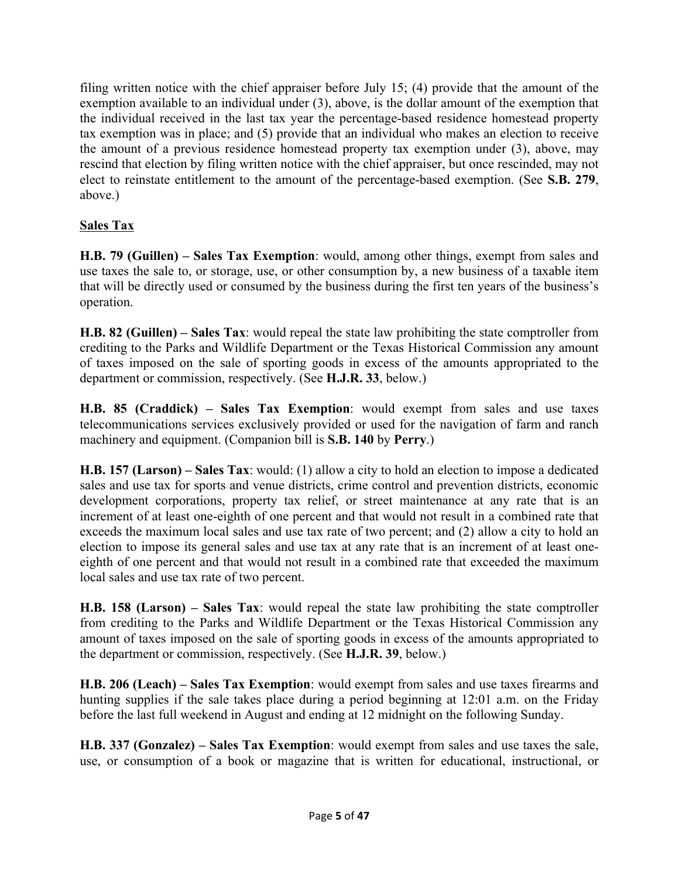filing written notice with the chief appraiser before July 15; (4) provide that the amount of the exemption available to an individual under (3), above, is the dollar amount of the exemption that the individual received in the last tax year the percentage-based residence homestead property tax exemption was in place; and (5) provide that an individual who makes an election to receive the amount of a previous residence homestead property tax exemption under (3), above, may rescind that election by filing written notice with the chief appraiser, but once rescinded, may not elect to reinstate entitlement to the amount of the percentage-based exemption. (See **S.B. 279**, above.)

## **Sales Tax**

**H.B. 79 (Guillen) – Sales Tax Exemption**: would, among other things, exempt from sales and use taxes the sale to, or storage, use, or other consumption by, a new business of a taxable item that will be directly used or consumed by the business during the first ten years of the business's operation.

**H.B. 82 (Guillen) – Sales Tax**: would repeal the state law prohibiting the state comptroller from crediting to the Parks and Wildlife Department or the Texas Historical Commission any amount of taxes imposed on the sale of sporting goods in excess of the amounts appropriated to the department or commission, respectively. (See **H.J.R. 33**, below.)

**H.B. 85 (Craddick) – Sales Tax Exemption**: would exempt from sales and use taxes telecommunications services exclusively provided or used for the navigation of farm and ranch machinery and equipment. (Companion bill is **S.B. 140** by **Perry**.)

**H.B. 157 (Larson) – Sales Tax**: would: (1) allow a city to hold an election to impose a dedicated sales and use tax for sports and venue districts, crime control and prevention districts, economic development corporations, property tax relief, or street maintenance at any rate that is an increment of at least one-eighth of one percent and that would not result in a combined rate that exceeds the maximum local sales and use tax rate of two percent; and (2) allow a city to hold an election to impose its general sales and use tax at any rate that is an increment of at least oneeighth of one percent and that would not result in a combined rate that exceeded the maximum local sales and use tax rate of two percent.

**H.B. 158 (Larson) – Sales Tax**: would repeal the state law prohibiting the state comptroller from crediting to the Parks and Wildlife Department or the Texas Historical Commission any amount of taxes imposed on the sale of sporting goods in excess of the amounts appropriated to the department or commission, respectively. (See **H.J.R. 39**, below.)

**H.B. 206 (Leach) – Sales Tax Exemption**: would exempt from sales and use taxes firearms and hunting supplies if the sale takes place during a period beginning at 12:01 a.m. on the Friday before the last full weekend in August and ending at 12 midnight on the following Sunday.

**H.B. 337 (Gonzalez) – Sales Tax Exemption**: would exempt from sales and use taxes the sale, use, or consumption of a book or magazine that is written for educational, instructional, or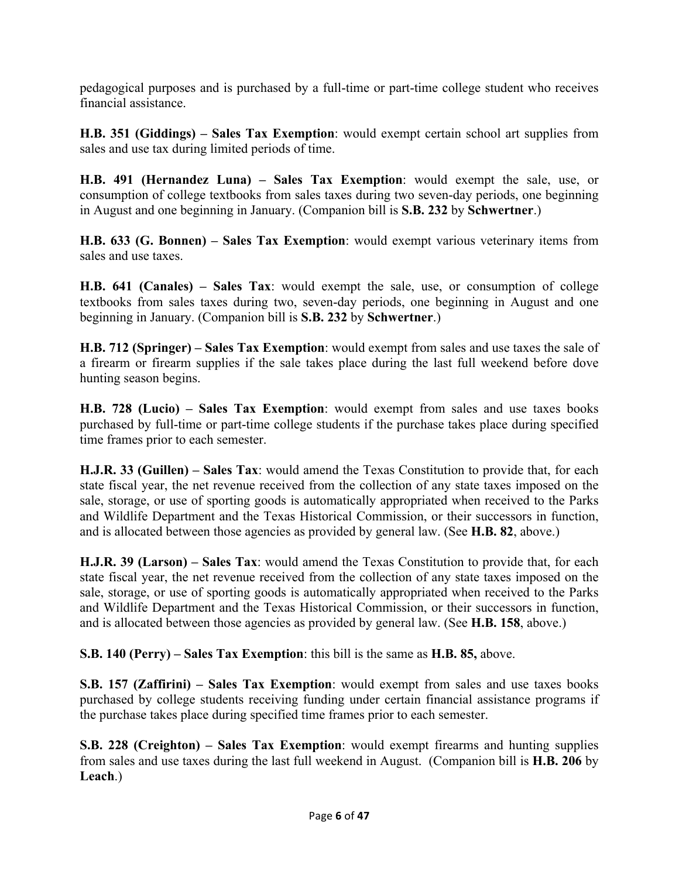pedagogical purposes and is purchased by a full-time or part-time college student who receives financial assistance.

**H.B. 351 (Giddings) – Sales Tax Exemption**: would exempt certain school art supplies from sales and use tax during limited periods of time.

**H.B. 491 (Hernandez Luna) – Sales Tax Exemption**: would exempt the sale, use, or consumption of college textbooks from sales taxes during two seven-day periods, one beginning in August and one beginning in January. (Companion bill is **S.B. 232** by **Schwertner**.)

**H.B. 633 (G. Bonnen) – Sales Tax Exemption**: would exempt various veterinary items from sales and use taxes.

**H.B. 641 (Canales) – Sales Tax**: would exempt the sale, use, or consumption of college textbooks from sales taxes during two, seven-day periods, one beginning in August and one beginning in January. (Companion bill is **S.B. 232** by **Schwertner**.)

**H.B. 712 (Springer) – Sales Tax Exemption**: would exempt from sales and use taxes the sale of a firearm or firearm supplies if the sale takes place during the last full weekend before dove hunting season begins.

**H.B. 728 (Lucio) – Sales Tax Exemption**: would exempt from sales and use taxes books purchased by full-time or part-time college students if the purchase takes place during specified time frames prior to each semester.

**H.J.R. 33 (Guillen) – Sales Tax**: would amend the Texas Constitution to provide that, for each state fiscal year, the net revenue received from the collection of any state taxes imposed on the sale, storage, or use of sporting goods is automatically appropriated when received to the Parks and Wildlife Department and the Texas Historical Commission, or their successors in function, and is allocated between those agencies as provided by general law. (See **H.B. 82**, above.)

**H.J.R. 39 (Larson) – Sales Tax**: would amend the Texas Constitution to provide that, for each state fiscal year, the net revenue received from the collection of any state taxes imposed on the sale, storage, or use of sporting goods is automatically appropriated when received to the Parks and Wildlife Department and the Texas Historical Commission, or their successors in function, and is allocated between those agencies as provided by general law. (See **H.B. 158**, above.)

**S.B. 140 (Perry) – Sales Tax Exemption**: this bill is the same as **H.B. 85,** above.

**S.B. 157 (Zaffirini) – Sales Tax Exemption**: would exempt from sales and use taxes books purchased by college students receiving funding under certain financial assistance programs if the purchase takes place during specified time frames prior to each semester.

**S.B. 228 (Creighton) – Sales Tax Exemption**: would exempt firearms and hunting supplies from sales and use taxes during the last full weekend in August. (Companion bill is **H.B. 206** by **Leach**.)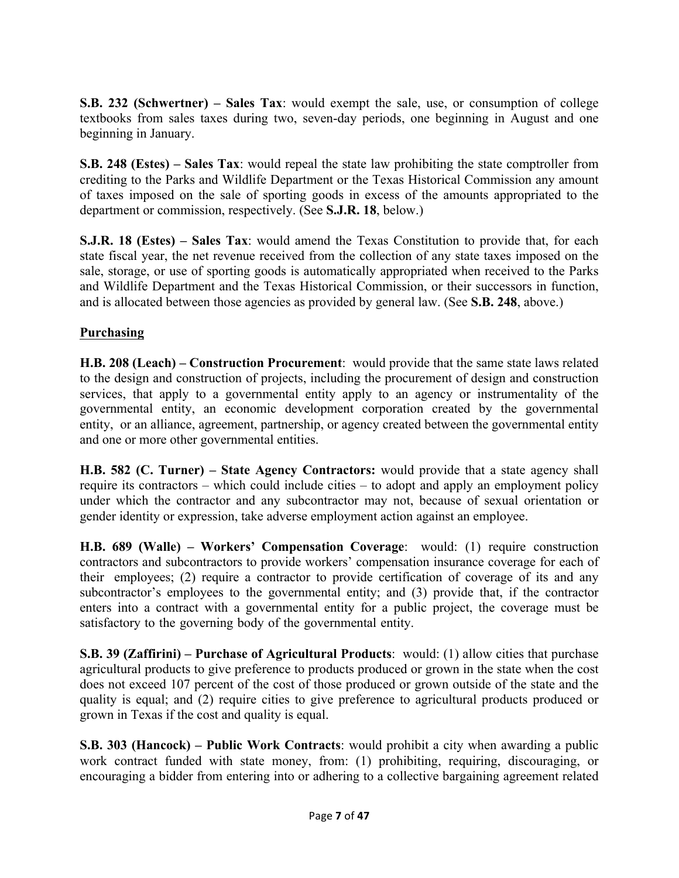**S.B. 232 (Schwertner) – Sales Tax**: would exempt the sale, use, or consumption of college textbooks from sales taxes during two, seven-day periods, one beginning in August and one beginning in January.

**S.B. 248 (Estes) – Sales Tax**: would repeal the state law prohibiting the state comptroller from crediting to the Parks and Wildlife Department or the Texas Historical Commission any amount of taxes imposed on the sale of sporting goods in excess of the amounts appropriated to the department or commission, respectively. (See **S.J.R. 18**, below.)

**S.J.R. 18 (Estes) – Sales Tax**: would amend the Texas Constitution to provide that, for each state fiscal year, the net revenue received from the collection of any state taxes imposed on the sale, storage, or use of sporting goods is automatically appropriated when received to the Parks and Wildlife Department and the Texas Historical Commission, or their successors in function, and is allocated between those agencies as provided by general law. (See **S.B. 248**, above.)

## **Purchasing**

**H.B. 208 (Leach) – Construction Procurement**: would provide that the same state laws related to the design and construction of projects, including the procurement of design and construction services, that apply to a governmental entity apply to an agency or instrumentality of the governmental entity, an economic development corporation created by the governmental entity, or an alliance, agreement, partnership, or agency created between the governmental entity and one or more other governmental entities.

**H.B. 582 (C. Turner) – State Agency Contractors:** would provide that a state agency shall require its contractors – which could include cities – to adopt and apply an employment policy under which the contractor and any subcontractor may not, because of sexual orientation or gender identity or expression, take adverse employment action against an employee.

**H.B. 689 (Walle) – Workers' Compensation Coverage**: would: (1) require construction contractors and subcontractors to provide workers' compensation insurance coverage for each of their employees; (2) require a contractor to provide certification of coverage of its and any subcontractor's employees to the governmental entity; and (3) provide that, if the contractor enters into a contract with a governmental entity for a public project, the coverage must be satisfactory to the governing body of the governmental entity.

**S.B. 39 (Zaffirini) – Purchase of Agricultural Products**: would: (1) allow cities that purchase agricultural products to give preference to products produced or grown in the state when the cost does not exceed 107 percent of the cost of those produced or grown outside of the state and the quality is equal; and (2) require cities to give preference to agricultural products produced or grown in Texas if the cost and quality is equal.

**S.B. 303 (Hancock) – Public Work Contracts**: would prohibit a city when awarding a public work contract funded with state money, from: (1) prohibiting, requiring, discouraging, or encouraging a bidder from entering into or adhering to a collective bargaining agreement related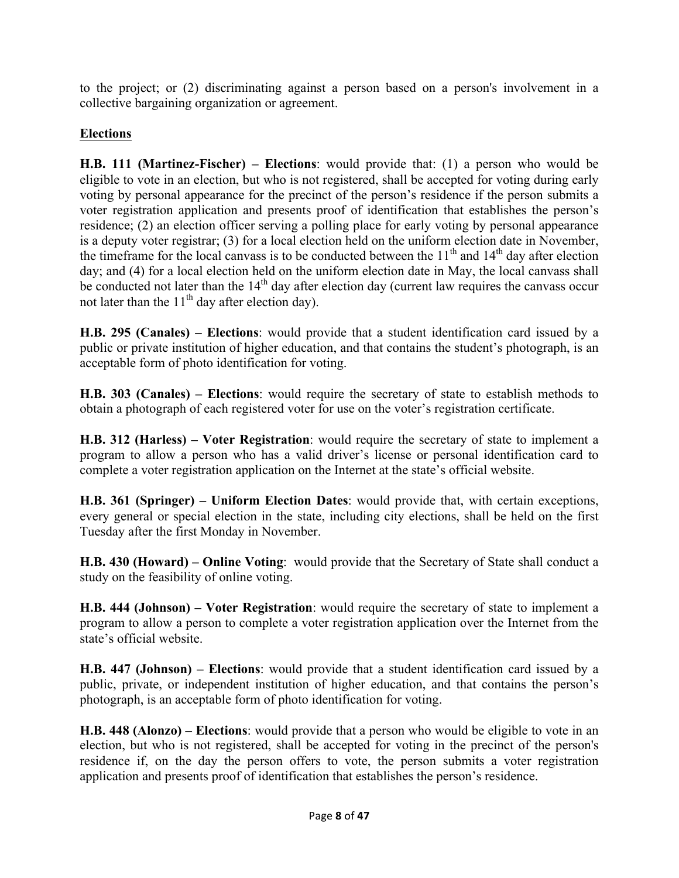to the project; or (2) discriminating against a person based on a person's involvement in a collective bargaining organization or agreement.

# **Elections**

**H.B. 111 (Martinez-Fischer) – Elections**: would provide that: (1) a person who would be eligible to vote in an election, but who is not registered, shall be accepted for voting during early voting by personal appearance for the precinct of the person's residence if the person submits a voter registration application and presents proof of identification that establishes the person's residence; (2) an election officer serving a polling place for early voting by personal appearance is a deputy voter registrar; (3) for a local election held on the uniform election date in November, the timeframe for the local canvass is to be conducted between the  $11<sup>th</sup>$  and  $14<sup>th</sup>$  day after election day; and (4) for a local election held on the uniform election date in May, the local canvass shall be conducted not later than the  $14<sup>th</sup>$  day after election day (current law requires the canvass occur not later than the  $11<sup>th</sup>$  day after election day).

**H.B. 295 (Canales) – Elections**: would provide that a student identification card issued by a public or private institution of higher education, and that contains the student's photograph, is an acceptable form of photo identification for voting.

**H.B. 303 (Canales) – Elections**: would require the secretary of state to establish methods to obtain a photograph of each registered voter for use on the voter's registration certificate.

**H.B. 312 (Harless) – Voter Registration**: would require the secretary of state to implement a program to allow a person who has a valid driver's license or personal identification card to complete a voter registration application on the Internet at the state's official website.

**H.B. 361 (Springer) – Uniform Election Dates**: would provide that, with certain exceptions, every general or special election in the state, including city elections, shall be held on the first Tuesday after the first Monday in November.

**H.B. 430 (Howard) – Online Voting**: would provide that the Secretary of State shall conduct a study on the feasibility of online voting.

**H.B. 444 (Johnson) – Voter Registration**: would require the secretary of state to implement a program to allow a person to complete a voter registration application over the Internet from the state's official website.

**H.B. 447 (Johnson) – Elections**: would provide that a student identification card issued by a public, private, or independent institution of higher education, and that contains the person's photograph, is an acceptable form of photo identification for voting.

**H.B. 448 (Alonzo) – Elections**: would provide that a person who would be eligible to vote in an election, but who is not registered, shall be accepted for voting in the precinct of the person's residence if, on the day the person offers to vote, the person submits a voter registration application and presents proof of identification that establishes the person's residence.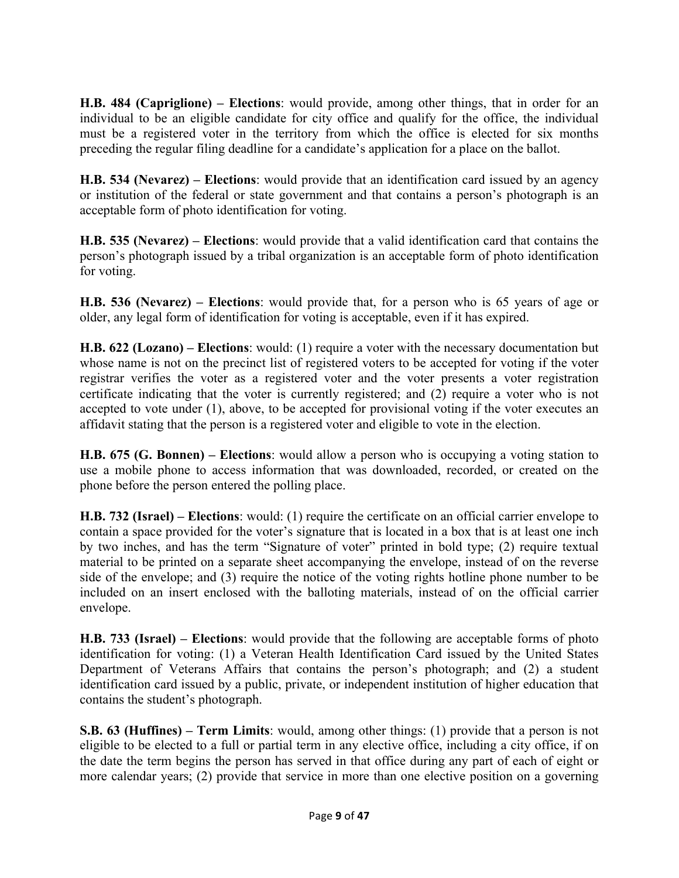**H.B. 484 (Capriglione) – Elections**: would provide, among other things, that in order for an individual to be an eligible candidate for city office and qualify for the office, the individual must be a registered voter in the territory from which the office is elected for six months preceding the regular filing deadline for a candidate's application for a place on the ballot.

**H.B. 534 (Nevarez) – Elections**: would provide that an identification card issued by an agency or institution of the federal or state government and that contains a person's photograph is an acceptable form of photo identification for voting.

**H.B. 535 (Nevarez) – Elections**: would provide that a valid identification card that contains the person's photograph issued by a tribal organization is an acceptable form of photo identification for voting.

**H.B. 536 (Nevarez) – Elections**: would provide that, for a person who is 65 years of age or older, any legal form of identification for voting is acceptable, even if it has expired.

**H.B. 622 (Lozano) – Elections**: would: (1) require a voter with the necessary documentation but whose name is not on the precinct list of registered voters to be accepted for voting if the voter registrar verifies the voter as a registered voter and the voter presents a voter registration certificate indicating that the voter is currently registered; and (2) require a voter who is not accepted to vote under (1), above, to be accepted for provisional voting if the voter executes an affidavit stating that the person is a registered voter and eligible to vote in the election.

**H.B. 675 (G. Bonnen) – Elections**: would allow a person who is occupying a voting station to use a mobile phone to access information that was downloaded, recorded, or created on the phone before the person entered the polling place.

**H.B. 732 (Israel) – Elections**: would: (1) require the certificate on an official carrier envelope to contain a space provided for the voter's signature that is located in a box that is at least one inch by two inches, and has the term "Signature of voter" printed in bold type; (2) require textual material to be printed on a separate sheet accompanying the envelope, instead of on the reverse side of the envelope; and (3) require the notice of the voting rights hotline phone number to be included on an insert enclosed with the balloting materials, instead of on the official carrier envelope.

**H.B. 733 (Israel) – Elections**: would provide that the following are acceptable forms of photo identification for voting: (1) a Veteran Health Identification Card issued by the United States Department of Veterans Affairs that contains the person's photograph; and (2) a student identification card issued by a public, private, or independent institution of higher education that contains the student's photograph.

**S.B. 63 (Huffines) – Term Limits**: would, among other things: (1) provide that a person is not eligible to be elected to a full or partial term in any elective office, including a city office, if on the date the term begins the person has served in that office during any part of each of eight or more calendar years; (2) provide that service in more than one elective position on a governing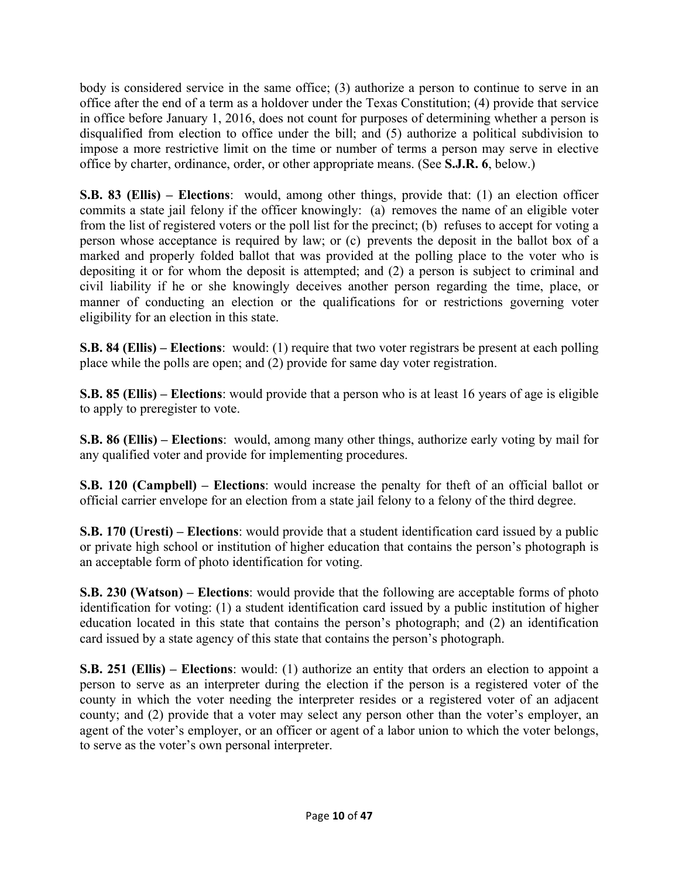body is considered service in the same office; (3) authorize a person to continue to serve in an office after the end of a term as a holdover under the Texas Constitution; (4) provide that service in office before January 1, 2016, does not count for purposes of determining whether a person is disqualified from election to office under the bill; and (5) authorize a political subdivision to impose a more restrictive limit on the time or number of terms a person may serve in elective office by charter, ordinance, order, or other appropriate means. (See **S.J.R. 6**, below.)

**S.B. 83 (Ellis) – Elections**: would, among other things, provide that: (1) an election officer commits a state jail felony if the officer knowingly: (a) removes the name of an eligible voter from the list of registered voters or the poll list for the precinct; (b) refuses to accept for voting a person whose acceptance is required by law; or (c) prevents the deposit in the ballot box of a marked and properly folded ballot that was provided at the polling place to the voter who is depositing it or for whom the deposit is attempted; and (2) a person is subject to criminal and civil liability if he or she knowingly deceives another person regarding the time, place, or manner of conducting an election or the qualifications for or restrictions governing voter eligibility for an election in this state.

**S.B. 84 (Ellis) – Elections**: would: (1) require that two voter registrars be present at each polling place while the polls are open; and (2) provide for same day voter registration.

**S.B. 85 (Ellis) – Elections**: would provide that a person who is at least 16 years of age is eligible to apply to preregister to vote.

**S.B. 86 (Ellis) – Elections**: would, among many other things, authorize early voting by mail for any qualified voter and provide for implementing procedures.

**S.B. 120 (Campbell) – Elections**: would increase the penalty for theft of an official ballot or official carrier envelope for an election from a state jail felony to a felony of the third degree.

**S.B. 170 (Uresti) – Elections**: would provide that a student identification card issued by a public or private high school or institution of higher education that contains the person's photograph is an acceptable form of photo identification for voting.

**S.B. 230 (Watson) – Elections**: would provide that the following are acceptable forms of photo identification for voting: (1) a student identification card issued by a public institution of higher education located in this state that contains the person's photograph; and (2) an identification card issued by a state agency of this state that contains the person's photograph.

**S.B. 251 (Ellis) – Elections**: would: (1) authorize an entity that orders an election to appoint a person to serve as an interpreter during the election if the person is a registered voter of the county in which the voter needing the interpreter resides or a registered voter of an adjacent county; and (2) provide that a voter may select any person other than the voter's employer, an agent of the voter's employer, or an officer or agent of a labor union to which the voter belongs, to serve as the voter's own personal interpreter.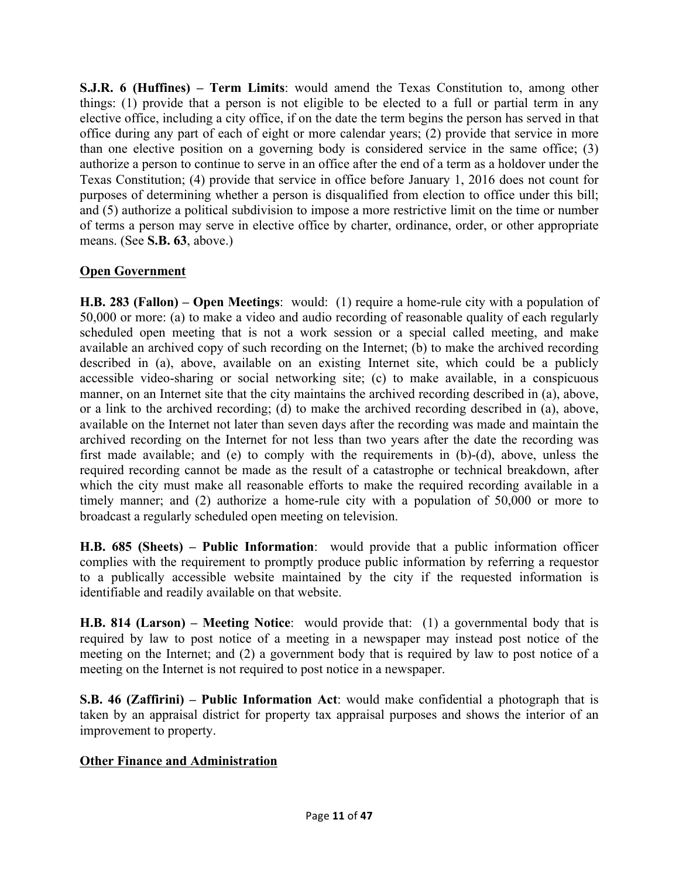**S.J.R. 6 (Huffines) – Term Limits**: would amend the Texas Constitution to, among other things: (1) provide that a person is not eligible to be elected to a full or partial term in any elective office, including a city office, if on the date the term begins the person has served in that office during any part of each of eight or more calendar years; (2) provide that service in more than one elective position on a governing body is considered service in the same office; (3) authorize a person to continue to serve in an office after the end of a term as a holdover under the Texas Constitution; (4) provide that service in office before January 1, 2016 does not count for purposes of determining whether a person is disqualified from election to office under this bill; and (5) authorize a political subdivision to impose a more restrictive limit on the time or number of terms a person may serve in elective office by charter, ordinance, order, or other appropriate means. (See **S.B. 63**, above.)

#### **Open Government**

**H.B. 283 (Fallon) – Open Meetings**: would: (1) require a home-rule city with a population of 50,000 or more: (a) to make a video and audio recording of reasonable quality of each regularly scheduled open meeting that is not a work session or a special called meeting, and make available an archived copy of such recording on the Internet; (b) to make the archived recording described in (a), above, available on an existing Internet site, which could be a publicly accessible video-sharing or social networking site; (c) to make available, in a conspicuous manner, on an Internet site that the city maintains the archived recording described in (a), above, or a link to the archived recording; (d) to make the archived recording described in (a), above, available on the Internet not later than seven days after the recording was made and maintain the archived recording on the Internet for not less than two years after the date the recording was first made available; and (e) to comply with the requirements in (b)-(d), above, unless the required recording cannot be made as the result of a catastrophe or technical breakdown, after which the city must make all reasonable efforts to make the required recording available in a timely manner; and (2) authorize a home-rule city with a population of 50,000 or more to broadcast a regularly scheduled open meeting on television.

**H.B. 685 (Sheets) – Public Information**: would provide that a public information officer complies with the requirement to promptly produce public information by referring a requestor to a publically accessible website maintained by the city if the requested information is identifiable and readily available on that website.

**H.B. 814 (Larson) – Meeting Notice**: would provide that: (1) a governmental body that is required by law to post notice of a meeting in a newspaper may instead post notice of the meeting on the Internet; and (2) a government body that is required by law to post notice of a meeting on the Internet is not required to post notice in a newspaper.

**S.B. 46 (Zaffirini) – Public Information Act**: would make confidential a photograph that is taken by an appraisal district for property tax appraisal purposes and shows the interior of an improvement to property.

#### **Other Finance and Administration**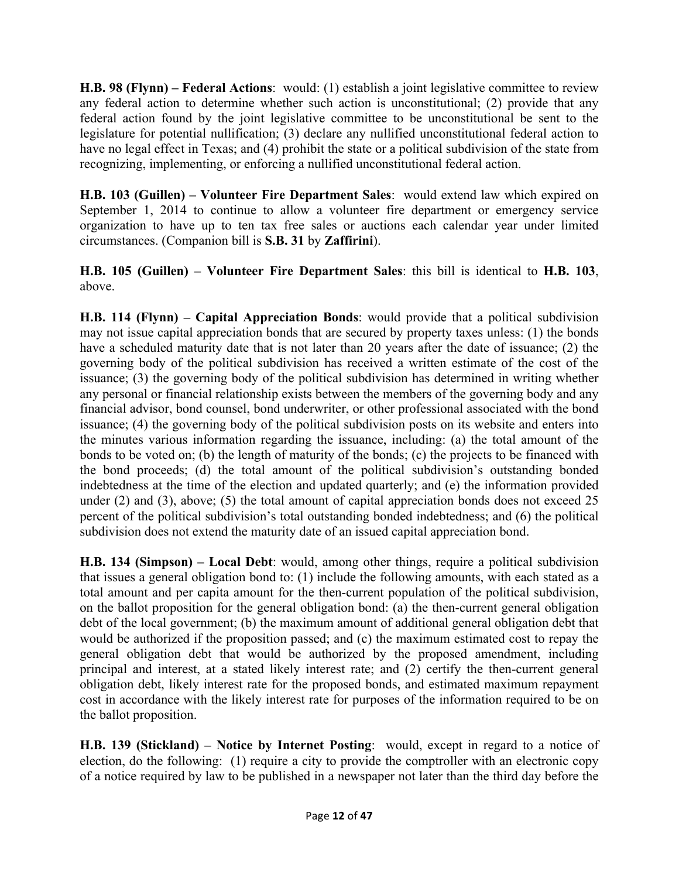**H.B. 98 (Flynn) – Federal Actions**: would: (1) establish a joint legislative committee to review any federal action to determine whether such action is unconstitutional; (2) provide that any federal action found by the joint legislative committee to be unconstitutional be sent to the legislature for potential nullification; (3) declare any nullified unconstitutional federal action to have no legal effect in Texas; and (4) prohibit the state or a political subdivision of the state from recognizing, implementing, or enforcing a nullified unconstitutional federal action.

**H.B. 103 (Guillen) – Volunteer Fire Department Sales**: would extend law which expired on September 1, 2014 to continue to allow a volunteer fire department or emergency service organization to have up to ten tax free sales or auctions each calendar year under limited circumstances. (Companion bill is **S.B. 31** by **Zaffirini**).

**H.B. 105 (Guillen) – Volunteer Fire Department Sales**: this bill is identical to **H.B. 103**, above.

**H.B. 114 (Flynn) – Capital Appreciation Bonds**: would provide that a political subdivision may not issue capital appreciation bonds that are secured by property taxes unless: (1) the bonds have a scheduled maturity date that is not later than 20 years after the date of issuance; (2) the governing body of the political subdivision has received a written estimate of the cost of the issuance; (3) the governing body of the political subdivision has determined in writing whether any personal or financial relationship exists between the members of the governing body and any financial advisor, bond counsel, bond underwriter, or other professional associated with the bond issuance; (4) the governing body of the political subdivision posts on its website and enters into the minutes various information regarding the issuance, including: (a) the total amount of the bonds to be voted on; (b) the length of maturity of the bonds; (c) the projects to be financed with the bond proceeds; (d) the total amount of the political subdivision's outstanding bonded indebtedness at the time of the election and updated quarterly; and (e) the information provided under (2) and (3), above; (5) the total amount of capital appreciation bonds does not exceed 25 percent of the political subdivision's total outstanding bonded indebtedness; and (6) the political subdivision does not extend the maturity date of an issued capital appreciation bond.

**H.B. 134 (Simpson) – Local Debt**: would, among other things, require a political subdivision that issues a general obligation bond to: (1) include the following amounts, with each stated as a total amount and per capita amount for the then-current population of the political subdivision, on the ballot proposition for the general obligation bond: (a) the then-current general obligation debt of the local government; (b) the maximum amount of additional general obligation debt that would be authorized if the proposition passed; and (c) the maximum estimated cost to repay the general obligation debt that would be authorized by the proposed amendment, including principal and interest, at a stated likely interest rate; and (2) certify the then-current general obligation debt, likely interest rate for the proposed bonds, and estimated maximum repayment cost in accordance with the likely interest rate for purposes of the information required to be on the ballot proposition.

**H.B. 139 (Stickland) – Notice by Internet Posting**: would, except in regard to a notice of election, do the following: (1) require a city to provide the comptroller with an electronic copy of a notice required by law to be published in a newspaper not later than the third day before the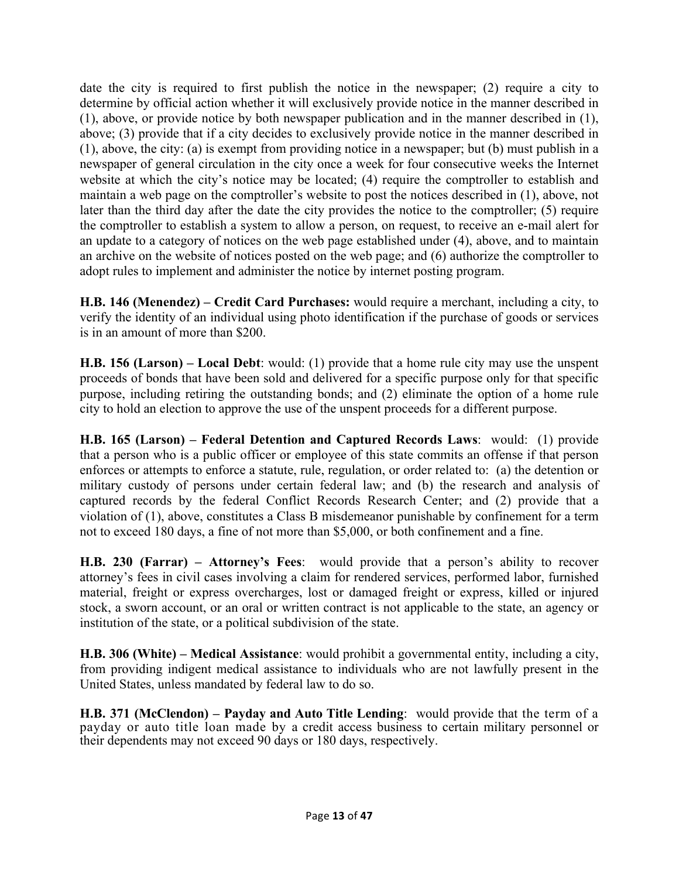date the city is required to first publish the notice in the newspaper; (2) require a city to determine by official action whether it will exclusively provide notice in the manner described in (1), above, or provide notice by both newspaper publication and in the manner described in (1), above; (3) provide that if a city decides to exclusively provide notice in the manner described in (1), above, the city: (a) is exempt from providing notice in a newspaper; but (b) must publish in a newspaper of general circulation in the city once a week for four consecutive weeks the Internet website at which the city's notice may be located; (4) require the comptroller to establish and maintain a web page on the comptroller's website to post the notices described in (1), above, not later than the third day after the date the city provides the notice to the comptroller; (5) require the comptroller to establish a system to allow a person, on request, to receive an e-mail alert for an update to a category of notices on the web page established under (4), above, and to maintain an archive on the website of notices posted on the web page; and (6) authorize the comptroller to adopt rules to implement and administer the notice by internet posting program.

**H.B. 146 (Menendez) – Credit Card Purchases:** would require a merchant, including a city, to verify the identity of an individual using photo identification if the purchase of goods or services is in an amount of more than \$200.

**H.B. 156 (Larson) – Local Debt**: would: (1) provide that a home rule city may use the unspent proceeds of bonds that have been sold and delivered for a specific purpose only for that specific purpose, including retiring the outstanding bonds; and (2) eliminate the option of a home rule city to hold an election to approve the use of the unspent proceeds for a different purpose.

**H.B. 165 (Larson) – Federal Detention and Captured Records Laws**: would: (1) provide that a person who is a public officer or employee of this state commits an offense if that person enforces or attempts to enforce a statute, rule, regulation, or order related to: (a) the detention or military custody of persons under certain federal law; and (b) the research and analysis of captured records by the federal Conflict Records Research Center; and (2) provide that a violation of (1), above, constitutes a Class B misdemeanor punishable by confinement for a term not to exceed 180 days, a fine of not more than \$5,000, or both confinement and a fine.

**H.B. 230 (Farrar) – Attorney's Fees**: would provide that a person's ability to recover attorney's fees in civil cases involving a claim for rendered services, performed labor, furnished material, freight or express overcharges, lost or damaged freight or express, killed or injured stock, a sworn account, or an oral or written contract is not applicable to the state, an agency or institution of the state, or a political subdivision of the state.

**H.B. 306 (White) – Medical Assistance**: would prohibit a governmental entity, including a city, from providing indigent medical assistance to individuals who are not lawfully present in the United States, unless mandated by federal law to do so.

**H.B. 371 (McClendon) – Payday and Auto Title Lending**: would provide that the term of a payday or auto title loan made by a credit access business to certain military personnel or their dependents may not exceed 90 days or 180 days, respectively.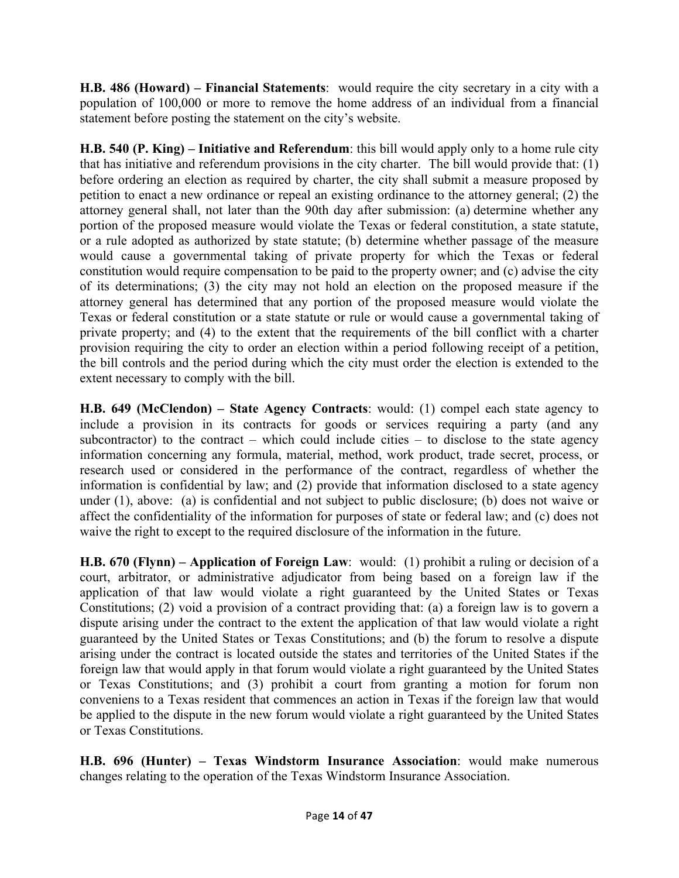**H.B. 486 (Howard) – Financial Statements**: would require the city secretary in a city with a population of 100,000 or more to remove the home address of an individual from a financial statement before posting the statement on the city's website.

**H.B. 540 (P. King) – Initiative and Referendum**: this bill would apply only to a home rule city that has initiative and referendum provisions in the city charter. The bill would provide that: (1) before ordering an election as required by charter, the city shall submit a measure proposed by petition to enact a new ordinance or repeal an existing ordinance to the attorney general; (2) the attorney general shall, not later than the 90th day after submission: (a) determine whether any portion of the proposed measure would violate the Texas or federal constitution, a state statute, or a rule adopted as authorized by state statute; (b) determine whether passage of the measure would cause a governmental taking of private property for which the Texas or federal constitution would require compensation to be paid to the property owner; and (c) advise the city of its determinations; (3) the city may not hold an election on the proposed measure if the attorney general has determined that any portion of the proposed measure would violate the Texas or federal constitution or a state statute or rule or would cause a governmental taking of private property; and (4) to the extent that the requirements of the bill conflict with a charter provision requiring the city to order an election within a period following receipt of a petition, the bill controls and the period during which the city must order the election is extended to the extent necessary to comply with the bill.

**H.B. 649 (McClendon) – State Agency Contracts**: would: (1) compel each state agency to include a provision in its contracts for goods or services requiring a party (and any subcontractor) to the contract – which could include cities – to disclose to the state agency information concerning any formula, material, method, work product, trade secret, process, or research used or considered in the performance of the contract, regardless of whether the information is confidential by law; and (2) provide that information disclosed to a state agency under (1), above: (a) is confidential and not subject to public disclosure; (b) does not waive or affect the confidentiality of the information for purposes of state or federal law; and (c) does not waive the right to except to the required disclosure of the information in the future.

**H.B. 670 (Flynn) – Application of Foreign Law**: would: (1) prohibit a ruling or decision of a court, arbitrator, or administrative adjudicator from being based on a foreign law if the application of that law would violate a right guaranteed by the United States or Texas Constitutions; (2) void a provision of a contract providing that: (a) a foreign law is to govern a dispute arising under the contract to the extent the application of that law would violate a right guaranteed by the United States or Texas Constitutions; and (b) the forum to resolve a dispute arising under the contract is located outside the states and territories of the United States if the foreign law that would apply in that forum would violate a right guaranteed by the United States or Texas Constitutions; and (3) prohibit a court from granting a motion for forum non conveniens to a Texas resident that commences an action in Texas if the foreign law that would be applied to the dispute in the new forum would violate a right guaranteed by the United States or Texas Constitutions.

**H.B. 696 (Hunter) – Texas Windstorm Insurance Association**: would make numerous changes relating to the operation of the Texas Windstorm Insurance Association.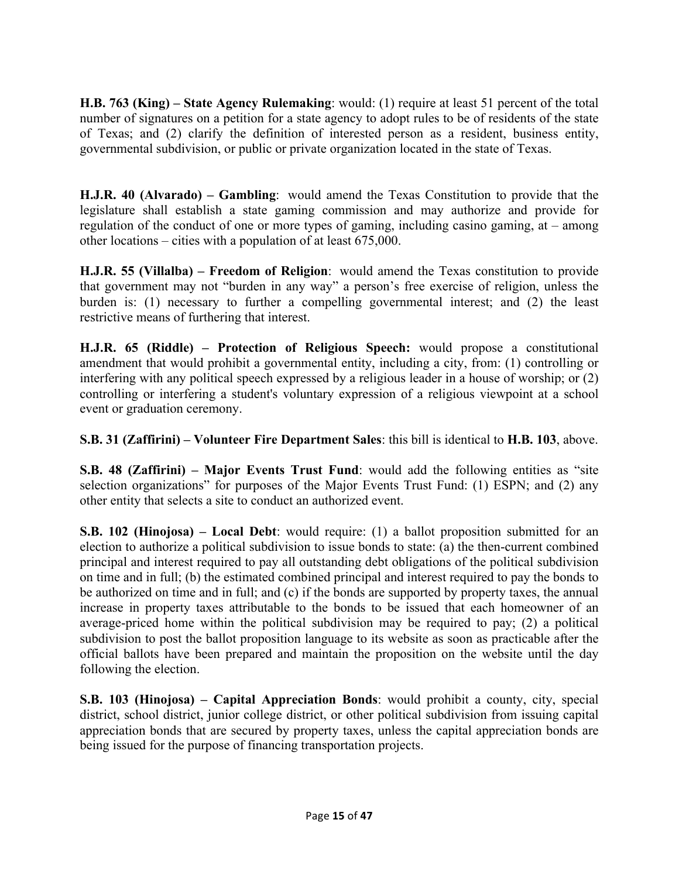**H.B. 763 (King) – State Agency Rulemaking**: would: (1) require at least 51 percent of the total number of signatures on a petition for a state agency to adopt rules to be of residents of the state of Texas; and (2) clarify the definition of interested person as a resident, business entity, governmental subdivision, or public or private organization located in the state of Texas.

**H.J.R. 40 (Alvarado) – Gambling**: would amend the Texas Constitution to provide that the legislature shall establish a state gaming commission and may authorize and provide for regulation of the conduct of one or more types of gaming, including casino gaming, at – among other locations – cities with a population of at least 675,000.

**H.J.R. 55 (Villalba) – Freedom of Religion**: would amend the Texas constitution to provide that government may not "burden in any way" a person's free exercise of religion, unless the burden is: (1) necessary to further a compelling governmental interest; and (2) the least restrictive means of furthering that interest.

**H.J.R. 65 (Riddle) – Protection of Religious Speech:** would propose a constitutional amendment that would prohibit a governmental entity, including a city, from: (1) controlling or interfering with any political speech expressed by a religious leader in a house of worship; or (2) controlling or interfering a student's voluntary expression of a religious viewpoint at a school event or graduation ceremony.

**S.B. 31 (Zaffirini) – Volunteer Fire Department Sales**: this bill is identical to **H.B. 103**, above.

**S.B. 48 (Zaffirini) – Major Events Trust Fund**: would add the following entities as "site selection organizations" for purposes of the Major Events Trust Fund: (1) ESPN; and (2) any other entity that selects a site to conduct an authorized event.

**S.B. 102 (Hinojosa) – Local Debt**: would require: (1) a ballot proposition submitted for an election to authorize a political subdivision to issue bonds to state: (a) the then-current combined principal and interest required to pay all outstanding debt obligations of the political subdivision on time and in full; (b) the estimated combined principal and interest required to pay the bonds to be authorized on time and in full; and (c) if the bonds are supported by property taxes, the annual increase in property taxes attributable to the bonds to be issued that each homeowner of an average-priced home within the political subdivision may be required to pay; (2) a political subdivision to post the ballot proposition language to its website as soon as practicable after the official ballots have been prepared and maintain the proposition on the website until the day following the election.

**S.B. 103 (Hinojosa) – Capital Appreciation Bonds**: would prohibit a county, city, special district, school district, junior college district, or other political subdivision from issuing capital appreciation bonds that are secured by property taxes, unless the capital appreciation bonds are being issued for the purpose of financing transportation projects.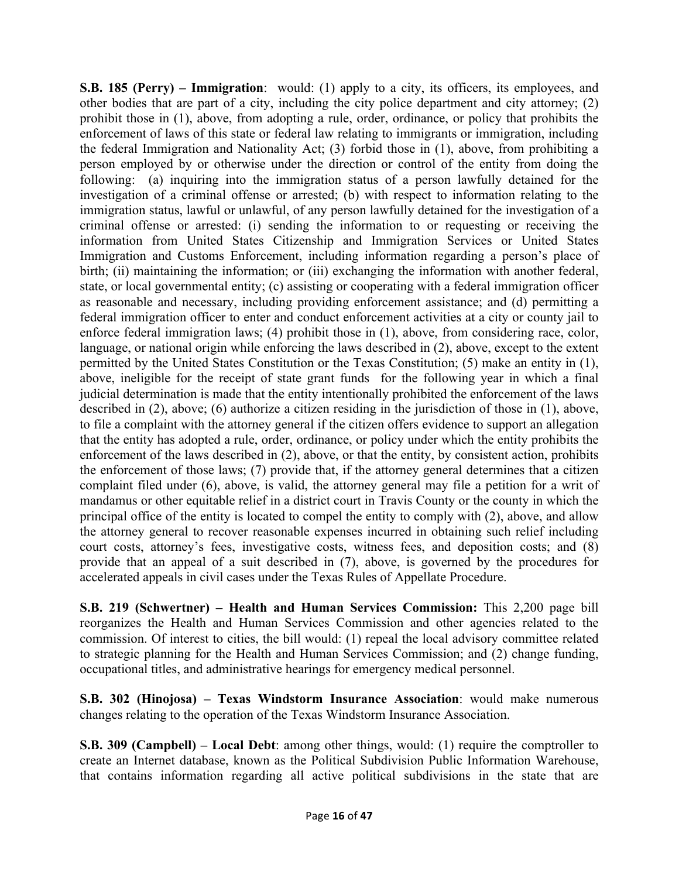**S.B. 185 (Perry) – Immigration**: would: (1) apply to a city, its officers, its employees, and other bodies that are part of a city, including the city police department and city attorney; (2) prohibit those in (1), above, from adopting a rule, order, ordinance, or policy that prohibits the enforcement of laws of this state or federal law relating to immigrants or immigration, including the federal Immigration and Nationality Act; (3) forbid those in (1), above, from prohibiting a person employed by or otherwise under the direction or control of the entity from doing the following: (a) inquiring into the immigration status of a person lawfully detained for the investigation of a criminal offense or arrested; (b) with respect to information relating to the immigration status, lawful or unlawful, of any person lawfully detained for the investigation of a criminal offense or arrested: (i) sending the information to or requesting or receiving the information from United States Citizenship and Immigration Services or United States Immigration and Customs Enforcement, including information regarding a person's place of birth; (ii) maintaining the information; or (iii) exchanging the information with another federal, state, or local governmental entity; (c) assisting or cooperating with a federal immigration officer as reasonable and necessary, including providing enforcement assistance; and (d) permitting a federal immigration officer to enter and conduct enforcement activities at a city or county jail to enforce federal immigration laws; (4) prohibit those in (1), above, from considering race, color, language, or national origin while enforcing the laws described in (2), above, except to the extent permitted by the United States Constitution or the Texas Constitution; (5) make an entity in (1), above, ineligible for the receipt of state grant funds for the following year in which a final judicial determination is made that the entity intentionally prohibited the enforcement of the laws described in (2), above; (6) authorize a citizen residing in the jurisdiction of those in (1), above, to file a complaint with the attorney general if the citizen offers evidence to support an allegation that the entity has adopted a rule, order, ordinance, or policy under which the entity prohibits the enforcement of the laws described in (2), above, or that the entity, by consistent action, prohibits the enforcement of those laws; (7) provide that, if the attorney general determines that a citizen complaint filed under (6), above, is valid, the attorney general may file a petition for a writ of mandamus or other equitable relief in a district court in Travis County or the county in which the principal office of the entity is located to compel the entity to comply with (2), above, and allow the attorney general to recover reasonable expenses incurred in obtaining such relief including court costs, attorney's fees, investigative costs, witness fees, and deposition costs; and (8) provide that an appeal of a suit described in (7), above, is governed by the procedures for accelerated appeals in civil cases under the Texas Rules of Appellate Procedure.

**S.B. 219 (Schwertner) – Health and Human Services Commission:** This 2,200 page bill reorganizes the Health and Human Services Commission and other agencies related to the commission. Of interest to cities, the bill would: (1) repeal the local advisory committee related to strategic planning for the Health and Human Services Commission; and (2) change funding, occupational titles, and administrative hearings for emergency medical personnel.

**S.B. 302 (Hinojosa) – Texas Windstorm Insurance Association**: would make numerous changes relating to the operation of the Texas Windstorm Insurance Association.

**S.B. 309 (Campbell) – Local Debt**: among other things, would: (1) require the comptroller to create an Internet database, known as the Political Subdivision Public Information Warehouse, that contains information regarding all active political subdivisions in the state that are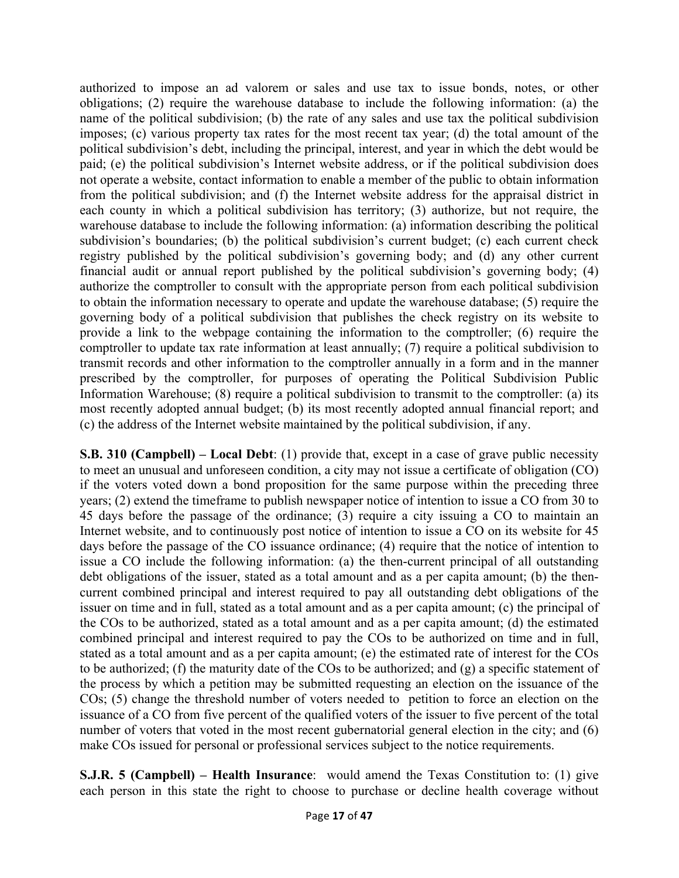authorized to impose an ad valorem or sales and use tax to issue bonds, notes, or other obligations; (2) require the warehouse database to include the following information: (a) the name of the political subdivision; (b) the rate of any sales and use tax the political subdivision imposes; (c) various property tax rates for the most recent tax year; (d) the total amount of the political subdivision's debt, including the principal, interest, and year in which the debt would be paid; (e) the political subdivision's Internet website address, or if the political subdivision does not operate a website, contact information to enable a member of the public to obtain information from the political subdivision; and (f) the Internet website address for the appraisal district in each county in which a political subdivision has territory; (3) authorize, but not require, the warehouse database to include the following information: (a) information describing the political subdivision's boundaries; (b) the political subdivision's current budget; (c) each current check registry published by the political subdivision's governing body; and (d) any other current financial audit or annual report published by the political subdivision's governing body; (4) authorize the comptroller to consult with the appropriate person from each political subdivision to obtain the information necessary to operate and update the warehouse database; (5) require the governing body of a political subdivision that publishes the check registry on its website to provide a link to the webpage containing the information to the comptroller; (6) require the comptroller to update tax rate information at least annually; (7) require a political subdivision to transmit records and other information to the comptroller annually in a form and in the manner prescribed by the comptroller, for purposes of operating the Political Subdivision Public Information Warehouse; (8) require a political subdivision to transmit to the comptroller: (a) its most recently adopted annual budget; (b) its most recently adopted annual financial report; and (c) the address of the Internet website maintained by the political subdivision, if any.

**S.B. 310 (Campbell) – Local Debt**: (1) provide that, except in a case of grave public necessity to meet an unusual and unforeseen condition, a city may not issue a certificate of obligation (CO) if the voters voted down a bond proposition for the same purpose within the preceding three years; (2) extend the timeframe to publish newspaper notice of intention to issue a CO from 30 to 45 days before the passage of the ordinance; (3) require a city issuing a CO to maintain an Internet website, and to continuously post notice of intention to issue a CO on its website for 45 days before the passage of the CO issuance ordinance; (4) require that the notice of intention to issue a CO include the following information: (a) the then-current principal of all outstanding debt obligations of the issuer, stated as a total amount and as a per capita amount; (b) the thencurrent combined principal and interest required to pay all outstanding debt obligations of the issuer on time and in full, stated as a total amount and as a per capita amount; (c) the principal of the COs to be authorized, stated as a total amount and as a per capita amount; (d) the estimated combined principal and interest required to pay the COs to be authorized on time and in full, stated as a total amount and as a per capita amount; (e) the estimated rate of interest for the COs to be authorized; (f) the maturity date of the COs to be authorized; and (g) a specific statement of the process by which a petition may be submitted requesting an election on the issuance of the COs; (5) change the threshold number of voters needed to petition to force an election on the issuance of a CO from five percent of the qualified voters of the issuer to five percent of the total number of voters that voted in the most recent gubernatorial general election in the city; and (6) make COs issued for personal or professional services subject to the notice requirements.

**S.J.R. 5 (Campbell) – Health Insurance**: would amend the Texas Constitution to: (1) give each person in this state the right to choose to purchase or decline health coverage without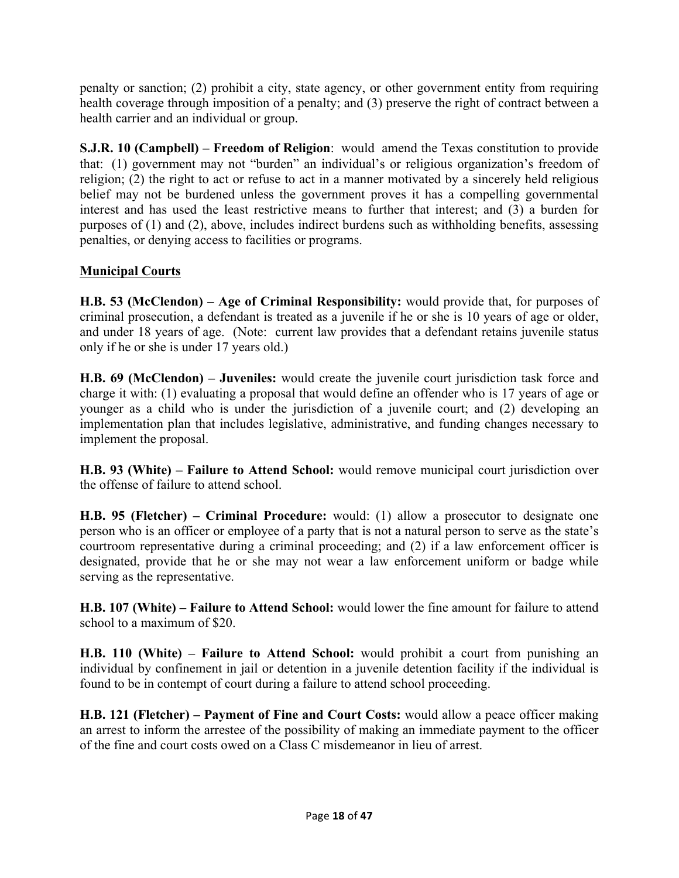penalty or sanction; (2) prohibit a city, state agency, or other government entity from requiring health coverage through imposition of a penalty; and (3) preserve the right of contract between a health carrier and an individual or group.

**S.J.R. 10 (Campbell) – Freedom of Religion**: would amend the Texas constitution to provide that: (1) government may not "burden" an individual's or religious organization's freedom of religion; (2) the right to act or refuse to act in a manner motivated by a sincerely held religious belief may not be burdened unless the government proves it has a compelling governmental interest and has used the least restrictive means to further that interest; and (3) a burden for purposes of (1) and (2), above, includes indirect burdens such as withholding benefits, assessing penalties, or denying access to facilities or programs.

## **Municipal Courts**

**H.B. 53 (McClendon) – Age of Criminal Responsibility:** would provide that, for purposes of criminal prosecution, a defendant is treated as a juvenile if he or she is 10 years of age or older, and under 18 years of age. (Note: current law provides that a defendant retains juvenile status only if he or she is under 17 years old.)

**H.B. 69 (McClendon) – Juveniles:** would create the juvenile court jurisdiction task force and charge it with: (1) evaluating a proposal that would define an offender who is 17 years of age or younger as a child who is under the jurisdiction of a juvenile court; and (2) developing an implementation plan that includes legislative, administrative, and funding changes necessary to implement the proposal.

**H.B. 93 (White) – Failure to Attend School:** would remove municipal court jurisdiction over the offense of failure to attend school.

**H.B. 95 (Fletcher) – Criminal Procedure:** would: (1) allow a prosecutor to designate one person who is an officer or employee of a party that is not a natural person to serve as the state's courtroom representative during a criminal proceeding; and (2) if a law enforcement officer is designated, provide that he or she may not wear a law enforcement uniform or badge while serving as the representative.

**H.B. 107 (White) – Failure to Attend School:** would lower the fine amount for failure to attend school to a maximum of \$20.

**H.B. 110 (White) – Failure to Attend School:** would prohibit a court from punishing an individual by confinement in jail or detention in a juvenile detention facility if the individual is found to be in contempt of court during a failure to attend school proceeding.

**H.B. 121 (Fletcher) – Payment of Fine and Court Costs:** would allow a peace officer making an arrest to inform the arrestee of the possibility of making an immediate payment to the officer of the fine and court costs owed on a Class C misdemeanor in lieu of arrest.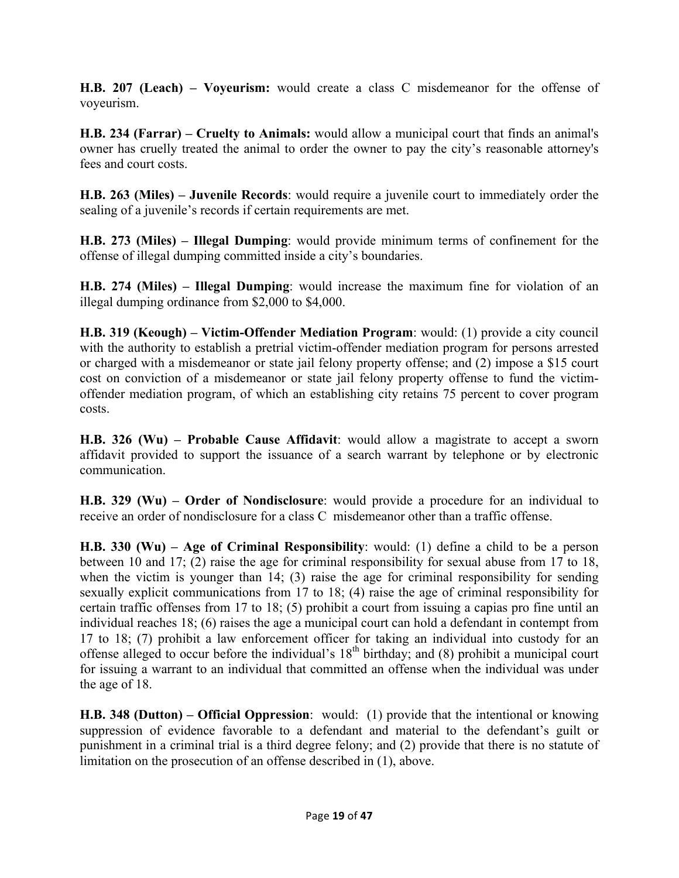**H.B. 207 (Leach) – Voyeurism:** would create a class C misdemeanor for the offense of voyeurism.

**H.B. 234 (Farrar) – Cruelty to Animals:** would allow a municipal court that finds an animal's owner has cruelly treated the animal to order the owner to pay the city's reasonable attorney's fees and court costs.

**H.B. 263 (Miles) – Juvenile Records**: would require a juvenile court to immediately order the sealing of a juvenile's records if certain requirements are met.

**H.B. 273 (Miles) – Illegal Dumping**: would provide minimum terms of confinement for the offense of illegal dumping committed inside a city's boundaries.

**H.B. 274 (Miles) – Illegal Dumping**: would increase the maximum fine for violation of an illegal dumping ordinance from \$2,000 to \$4,000.

**H.B. 319 (Keough) – Victim-Offender Mediation Program**: would: (1) provide a city council with the authority to establish a pretrial victim-offender mediation program for persons arrested or charged with a misdemeanor or state jail felony property offense; and (2) impose a \$15 court cost on conviction of a misdemeanor or state jail felony property offense to fund the victimoffender mediation program, of which an establishing city retains 75 percent to cover program costs.

**H.B. 326 (Wu) – Probable Cause Affidavit**: would allow a magistrate to accept a sworn affidavit provided to support the issuance of a search warrant by telephone or by electronic communication.

**H.B. 329 (Wu) – Order of Nondisclosure**: would provide a procedure for an individual to receive an order of nondisclosure for a class C misdemeanor other than a traffic offense.

**H.B. 330 (Wu) – Age of Criminal Responsibility**: would: (1) define a child to be a person between 10 and 17; (2) raise the age for criminal responsibility for sexual abuse from 17 to 18, when the victim is younger than 14; (3) raise the age for criminal responsibility for sending sexually explicit communications from 17 to 18; (4) raise the age of criminal responsibility for certain traffic offenses from 17 to 18; (5) prohibit a court from issuing a capias pro fine until an individual reaches 18; (6) raises the age a municipal court can hold a defendant in contempt from 17 to 18; (7) prohibit a law enforcement officer for taking an individual into custody for an offense alleged to occur before the individual's  $18<sup>th</sup>$  birthday; and (8) prohibit a municipal court for issuing a warrant to an individual that committed an offense when the individual was under the age of 18.

**H.B. 348 (Dutton) – Official Oppression**: would: (1) provide that the intentional or knowing suppression of evidence favorable to a defendant and material to the defendant's guilt or punishment in a criminal trial is a third degree felony; and (2) provide that there is no statute of limitation on the prosecution of an offense described in (1), above.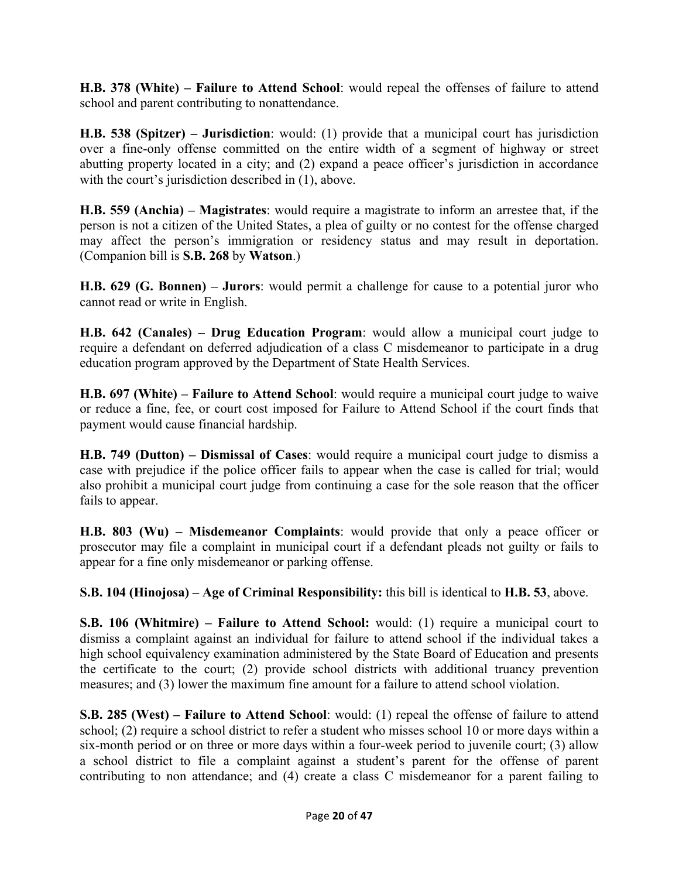**H.B. 378 (White) – Failure to Attend School**: would repeal the offenses of failure to attend school and parent contributing to nonattendance.

**H.B. 538 (Spitzer) – Jurisdiction**: would: (1) provide that a municipal court has jurisdiction over a fine-only offense committed on the entire width of a segment of highway or street abutting property located in a city; and (2) expand a peace officer's jurisdiction in accordance with the court's jurisdiction described in (1), above.

**H.B. 559 (Anchia) – Magistrates**: would require a magistrate to inform an arrestee that, if the person is not a citizen of the United States, a plea of guilty or no contest for the offense charged may affect the person's immigration or residency status and may result in deportation. (Companion bill is **S.B. 268** by **Watson**.)

**H.B. 629 (G. Bonnen) – Jurors**: would permit a challenge for cause to a potential juror who cannot read or write in English.

**H.B. 642 (Canales) – Drug Education Program**: would allow a municipal court judge to require a defendant on deferred adjudication of a class C misdemeanor to participate in a drug education program approved by the Department of State Health Services.

**H.B. 697 (White) – Failure to Attend School**: would require a municipal court judge to waive or reduce a fine, fee, or court cost imposed for Failure to Attend School if the court finds that payment would cause financial hardship.

**H.B. 749 (Dutton) – Dismissal of Cases**: would require a municipal court judge to dismiss a case with prejudice if the police officer fails to appear when the case is called for trial; would also prohibit a municipal court judge from continuing a case for the sole reason that the officer fails to appear.

**H.B. 803 (Wu) – Misdemeanor Complaints**: would provide that only a peace officer or prosecutor may file a complaint in municipal court if a defendant pleads not guilty or fails to appear for a fine only misdemeanor or parking offense.

**S.B. 104 (Hinojosa) – Age of Criminal Responsibility:** this bill is identical to **H.B. 53**, above.

**S.B. 106 (Whitmire) – Failure to Attend School:** would: (1) require a municipal court to dismiss a complaint against an individual for failure to attend school if the individual takes a high school equivalency examination administered by the State Board of Education and presents the certificate to the court; (2) provide school districts with additional truancy prevention measures; and (3) lower the maximum fine amount for a failure to attend school violation.

**S.B. 285 (West) – Failure to Attend School**: would: (1) repeal the offense of failure to attend school; (2) require a school district to refer a student who misses school 10 or more days within a six-month period or on three or more days within a four-week period to juvenile court; (3) allow a school district to file a complaint against a student's parent for the offense of parent contributing to non attendance; and (4) create a class C misdemeanor for a parent failing to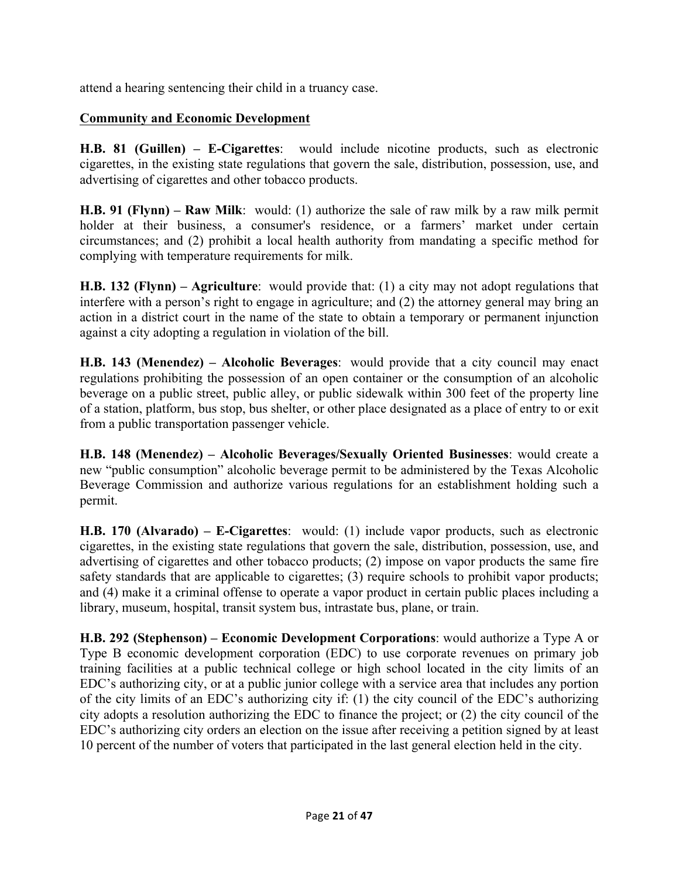attend a hearing sentencing their child in a truancy case.

#### **Community and Economic Development**

**H.B. 81 (Guillen) – E-Cigarettes**: would include nicotine products, such as electronic cigarettes, in the existing state regulations that govern the sale, distribution, possession, use, and advertising of cigarettes and other tobacco products.

**H.B. 91 (Flynn) – Raw Milk**: would: (1) authorize the sale of raw milk by a raw milk permit holder at their business, a consumer's residence, or a farmers' market under certain circumstances; and (2) prohibit a local health authority from mandating a specific method for complying with temperature requirements for milk.

**H.B. 132 (Flynn) – Agriculture**: would provide that: (1) a city may not adopt regulations that interfere with a person's right to engage in agriculture; and (2) the attorney general may bring an action in a district court in the name of the state to obtain a temporary or permanent injunction against a city adopting a regulation in violation of the bill.

**H.B. 143 (Menendez) – Alcoholic Beverages**: would provide that a city council may enact regulations prohibiting the possession of an open container or the consumption of an alcoholic beverage on a public street, public alley, or public sidewalk within 300 feet of the property line of a station, platform, bus stop, bus shelter, or other place designated as a place of entry to or exit from a public transportation passenger vehicle.

**H.B. 148 (Menendez) – Alcoholic Beverages/Sexually Oriented Businesses**: would create a new "public consumption" alcoholic beverage permit to be administered by the Texas Alcoholic Beverage Commission and authorize various regulations for an establishment holding such a permit.

**H.B. 170 (Alvarado) – E-Cigarettes**: would: (1) include vapor products, such as electronic cigarettes, in the existing state regulations that govern the sale, distribution, possession, use, and advertising of cigarettes and other tobacco products; (2) impose on vapor products the same fire safety standards that are applicable to cigarettes; (3) require schools to prohibit vapor products; and (4) make it a criminal offense to operate a vapor product in certain public places including a library, museum, hospital, transit system bus, intrastate bus, plane, or train.

**H.B. 292 (Stephenson) – Economic Development Corporations**: would authorize a Type A or Type B economic development corporation (EDC) to use corporate revenues on primary job training facilities at a public technical college or high school located in the city limits of an EDC's authorizing city, or at a public junior college with a service area that includes any portion of the city limits of an EDC's authorizing city if: (1) the city council of the EDC's authorizing city adopts a resolution authorizing the EDC to finance the project; or (2) the city council of the EDC's authorizing city orders an election on the issue after receiving a petition signed by at least 10 percent of the number of voters that participated in the last general election held in the city.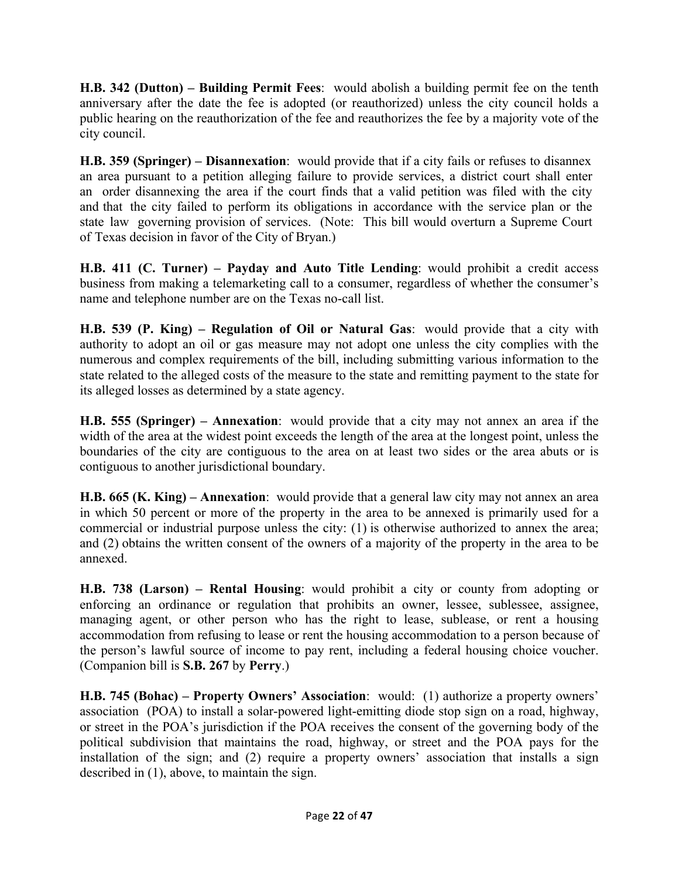**H.B. 342 (Dutton) – Building Permit Fees**: would abolish a building permit fee on the tenth anniversary after the date the fee is adopted (or reauthorized) unless the city council holds a public hearing on the reauthorization of the fee and reauthorizes the fee by a majority vote of the city council.

**H.B. 359 (Springer) – Disannexation**: would provide that if a city fails or refuses to disannex an area pursuant to a petition alleging failure to provide services, a district court shall enter an order disannexing the area if the court finds that a valid petition was filed with the city and that the city failed to perform its obligations in accordance with the service plan or the state law governing provision of services. (Note: This bill would overturn a Supreme Court of Texas decision in favor of the City of Bryan.)

**H.B. 411 (C. Turner) – Payday and Auto Title Lending**: would prohibit a credit access business from making a telemarketing call to a consumer, regardless of whether the consumer's name and telephone number are on the Texas no-call list.

**H.B. 539 (P. King) – Regulation of Oil or Natural Gas**: would provide that a city with authority to adopt an oil or gas measure may not adopt one unless the city complies with the numerous and complex requirements of the bill, including submitting various information to the state related to the alleged costs of the measure to the state and remitting payment to the state for its alleged losses as determined by a state agency. 

**H.B. 555 (Springer) – Annexation**: would provide that a city may not annex an area if the width of the area at the widest point exceeds the length of the area at the longest point, unless the boundaries of the city are contiguous to the area on at least two sides or the area abuts or is contiguous to another jurisdictional boundary.

**H.B. 665 (K. King) – Annexation**: would provide that a general law city may not annex an area in which 50 percent or more of the property in the area to be annexed is primarily used for a commercial or industrial purpose unless the city: (1) is otherwise authorized to annex the area; and (2) obtains the written consent of the owners of a majority of the property in the area to be annexed.

**H.B. 738 (Larson) – Rental Housing**: would prohibit a city or county from adopting or enforcing an ordinance or regulation that prohibits an owner, lessee, sublessee, assignee, managing agent, or other person who has the right to lease, sublease, or rent a housing accommodation from refusing to lease or rent the housing accommodation to a person because of the person's lawful source of income to pay rent, including a federal housing choice voucher. (Companion bill is **S.B. 267** by **Perry**.)

**H.B. 745 (Bohac) – Property Owners' Association**: would: (1) authorize a property owners' association (POA) to install a solar-powered light-emitting diode stop sign on a road, highway, or street in the POA's jurisdiction if the POA receives the consent of the governing body of the political subdivision that maintains the road, highway, or street and the POA pays for the installation of the sign; and (2) require a property owners' association that installs a sign described in (1), above, to maintain the sign.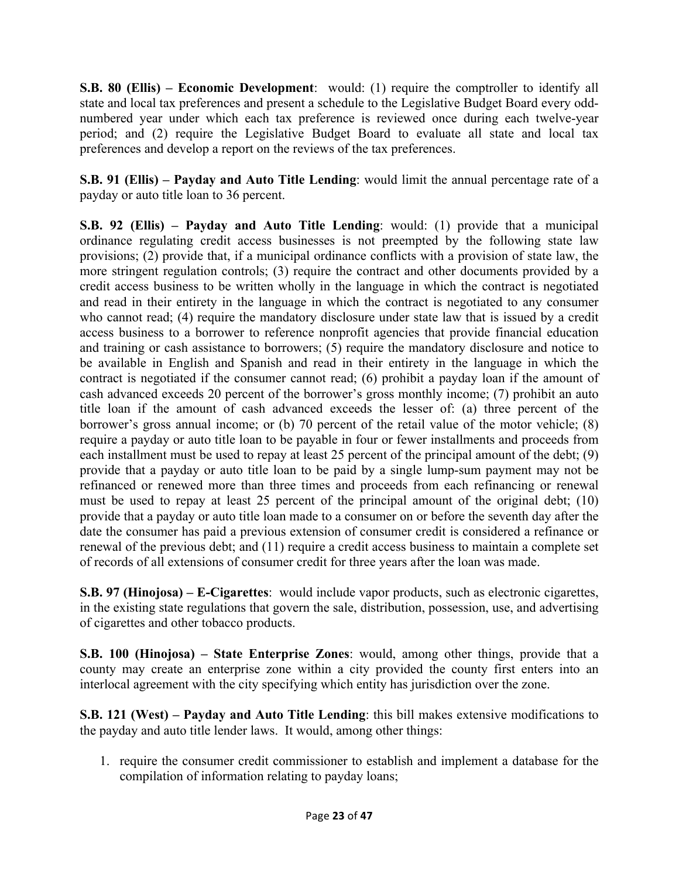**S.B. 80 (Ellis) – Economic Development**: would: (1) require the comptroller to identify all state and local tax preferences and present a schedule to the Legislative Budget Board every oddnumbered year under which each tax preference is reviewed once during each twelve-year period; and (2) require the Legislative Budget Board to evaluate all state and local tax preferences and develop a report on the reviews of the tax preferences.

**S.B. 91 (Ellis) – Payday and Auto Title Lending**: would limit the annual percentage rate of a payday or auto title loan to 36 percent.

**S.B. 92 (Ellis) – Payday and Auto Title Lending**: would: (1) provide that a municipal ordinance regulating credit access businesses is not preempted by the following state law provisions; (2) provide that, if a municipal ordinance conflicts with a provision of state law, the more stringent regulation controls; (3) require the contract and other documents provided by a credit access business to be written wholly in the language in which the contract is negotiated and read in their entirety in the language in which the contract is negotiated to any consumer who cannot read; (4) require the mandatory disclosure under state law that is issued by a credit access business to a borrower to reference nonprofit agencies that provide financial education and training or cash assistance to borrowers; (5) require the mandatory disclosure and notice to be available in English and Spanish and read in their entirety in the language in which the contract is negotiated if the consumer cannot read; (6) prohibit a payday loan if the amount of cash advanced exceeds 20 percent of the borrower's gross monthly income; (7) prohibit an auto title loan if the amount of cash advanced exceeds the lesser of: (a) three percent of the borrower's gross annual income; or (b) 70 percent of the retail value of the motor vehicle; (8) require a payday or auto title loan to be payable in four or fewer installments and proceeds from each installment must be used to repay at least 25 percent of the principal amount of the debt; (9) provide that a payday or auto title loan to be paid by a single lump-sum payment may not be refinanced or renewed more than three times and proceeds from each refinancing or renewal must be used to repay at least 25 percent of the principal amount of the original debt; (10) provide that a payday or auto title loan made to a consumer on or before the seventh day after the date the consumer has paid a previous extension of consumer credit is considered a refinance or renewal of the previous debt; and (11) require a credit access business to maintain a complete set of records of all extensions of consumer credit for three years after the loan was made.

**S.B. 97 (Hinojosa) – E-Cigarettes**: would include vapor products, such as electronic cigarettes, in the existing state regulations that govern the sale, distribution, possession, use, and advertising of cigarettes and other tobacco products.

**S.B. 100 (Hinojosa) – State Enterprise Zones**: would, among other things, provide that a county may create an enterprise zone within a city provided the county first enters into an interlocal agreement with the city specifying which entity has jurisdiction over the zone.

**S.B. 121 (West) – Payday and Auto Title Lending**: this bill makes extensive modifications to the payday and auto title lender laws. It would, among other things:

1. require the consumer credit commissioner to establish and implement a database for the compilation of information relating to payday loans;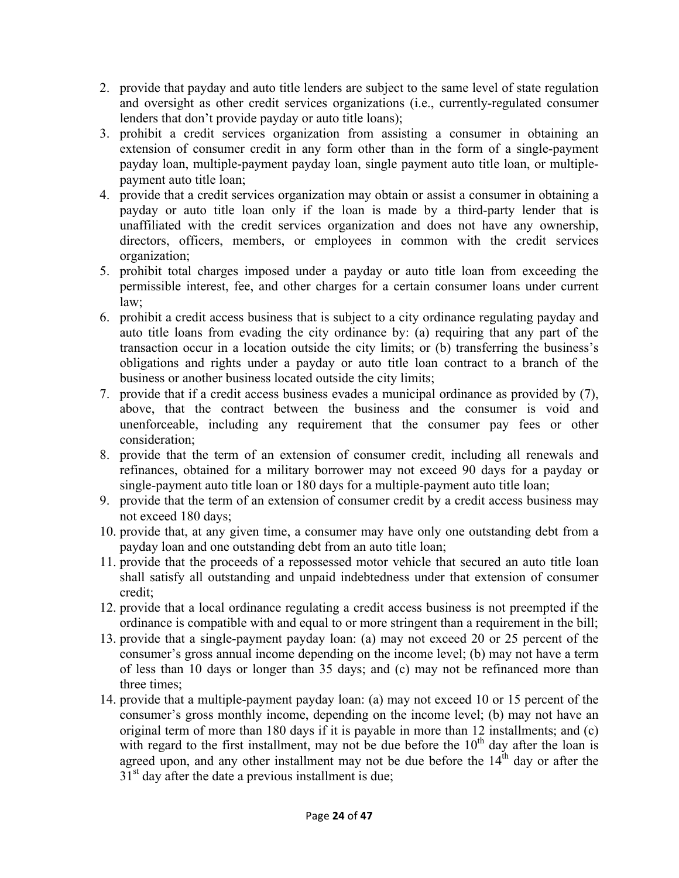- 2. provide that payday and auto title lenders are subject to the same level of state regulation and oversight as other credit services organizations (i.e., currently-regulated consumer lenders that don't provide payday or auto title loans);
- 3. prohibit a credit services organization from assisting a consumer in obtaining an extension of consumer credit in any form other than in the form of a single-payment payday loan, multiple-payment payday loan, single payment auto title loan, or multiplepayment auto title loan;
- 4. provide that a credit services organization may obtain or assist a consumer in obtaining a payday or auto title loan only if the loan is made by a third-party lender that is unaffiliated with the credit services organization and does not have any ownership, directors, officers, members, or employees in common with the credit services organization;
- 5. prohibit total charges imposed under a payday or auto title loan from exceeding the permissible interest, fee, and other charges for a certain consumer loans under current law;
- 6. prohibit a credit access business that is subject to a city ordinance regulating payday and auto title loans from evading the city ordinance by: (a) requiring that any part of the transaction occur in a location outside the city limits; or (b) transferring the business's obligations and rights under a payday or auto title loan contract to a branch of the business or another business located outside the city limits;
- 7. provide that if a credit access business evades a municipal ordinance as provided by (7), above, that the contract between the business and the consumer is void and unenforceable, including any requirement that the consumer pay fees or other consideration;
- 8. provide that the term of an extension of consumer credit, including all renewals and refinances, obtained for a military borrower may not exceed 90 days for a payday or single-payment auto title loan or 180 days for a multiple-payment auto title loan;
- 9. provide that the term of an extension of consumer credit by a credit access business may not exceed 180 days;
- 10. provide that, at any given time, a consumer may have only one outstanding debt from a payday loan and one outstanding debt from an auto title loan;
- 11. provide that the proceeds of a repossessed motor vehicle that secured an auto title loan shall satisfy all outstanding and unpaid indebtedness under that extension of consumer credit;
- 12. provide that a local ordinance regulating a credit access business is not preempted if the ordinance is compatible with and equal to or more stringent than a requirement in the bill;
- 13. provide that a single-payment payday loan: (a) may not exceed 20 or 25 percent of the consumer's gross annual income depending on the income level; (b) may not have a term of less than 10 days or longer than 35 days; and (c) may not be refinanced more than three times;
- 14. provide that a multiple-payment payday loan: (a) may not exceed 10 or 15 percent of the consumer's gross monthly income, depending on the income level; (b) may not have an original term of more than 180 days if it is payable in more than 12 installments; and (c) with regard to the first installment, may not be due before the  $10<sup>th</sup>$  day after the loan is agreed upon, and any other installment may not be due before the  $14<sup>th</sup>$  day or after the  $31<sup>st</sup>$  day after the date a previous installment is due;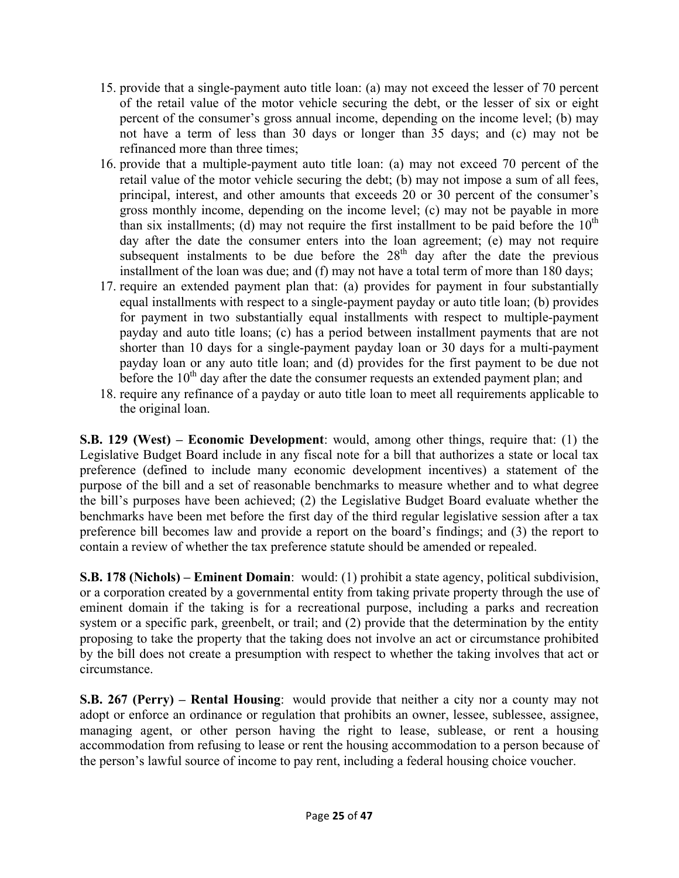- 15. provide that a single-payment auto title loan: (a) may not exceed the lesser of 70 percent of the retail value of the motor vehicle securing the debt, or the lesser of six or eight percent of the consumer's gross annual income, depending on the income level; (b) may not have a term of less than 30 days or longer than 35 days; and (c) may not be refinanced more than three times;
- 16. provide that a multiple-payment auto title loan: (a) may not exceed 70 percent of the retail value of the motor vehicle securing the debt; (b) may not impose a sum of all fees, principal, interest, and other amounts that exceeds 20 or 30 percent of the consumer's gross monthly income, depending on the income level; (c) may not be payable in more than six installments; (d) may not require the first installment to be paid before the  $10<sup>th</sup>$ day after the date the consumer enters into the loan agreement; (e) may not require subsequent instalments to be due before the  $28<sup>th</sup>$  day after the date the previous installment of the loan was due; and (f) may not have a total term of more than 180 days;
- 17. require an extended payment plan that: (a) provides for payment in four substantially equal installments with respect to a single-payment payday or auto title loan; (b) provides for payment in two substantially equal installments with respect to multiple-payment payday and auto title loans; (c) has a period between installment payments that are not shorter than 10 days for a single-payment payday loan or 30 days for a multi-payment payday loan or any auto title loan; and (d) provides for the first payment to be due not before the  $10<sup>th</sup>$  day after the date the consumer requests an extended payment plan; and
- 18. require any refinance of a payday or auto title loan to meet all requirements applicable to the original loan.

**S.B. 129 (West) – Economic Development**: would, among other things, require that: (1) the Legislative Budget Board include in any fiscal note for a bill that authorizes a state or local tax preference (defined to include many economic development incentives) a statement of the purpose of the bill and a set of reasonable benchmarks to measure whether and to what degree the bill's purposes have been achieved; (2) the Legislative Budget Board evaluate whether the benchmarks have been met before the first day of the third regular legislative session after a tax preference bill becomes law and provide a report on the board's findings; and (3) the report to contain a review of whether the tax preference statute should be amended or repealed.

**S.B. 178 (Nichols) – Eminent Domain**: would: (1) prohibit a state agency, political subdivision, or a corporation created by a governmental entity from taking private property through the use of eminent domain if the taking is for a recreational purpose, including a parks and recreation system or a specific park, greenbelt, or trail; and (2) provide that the determination by the entity proposing to take the property that the taking does not involve an act or circumstance prohibited by the bill does not create a presumption with respect to whether the taking involves that act or circumstance.

**S.B. 267 (Perry) – Rental Housing**: would provide that neither a city nor a county may not adopt or enforce an ordinance or regulation that prohibits an owner, lessee, sublessee, assignee, managing agent, or other person having the right to lease, sublease, or rent a housing accommodation from refusing to lease or rent the housing accommodation to a person because of the person's lawful source of income to pay rent, including a federal housing choice voucher.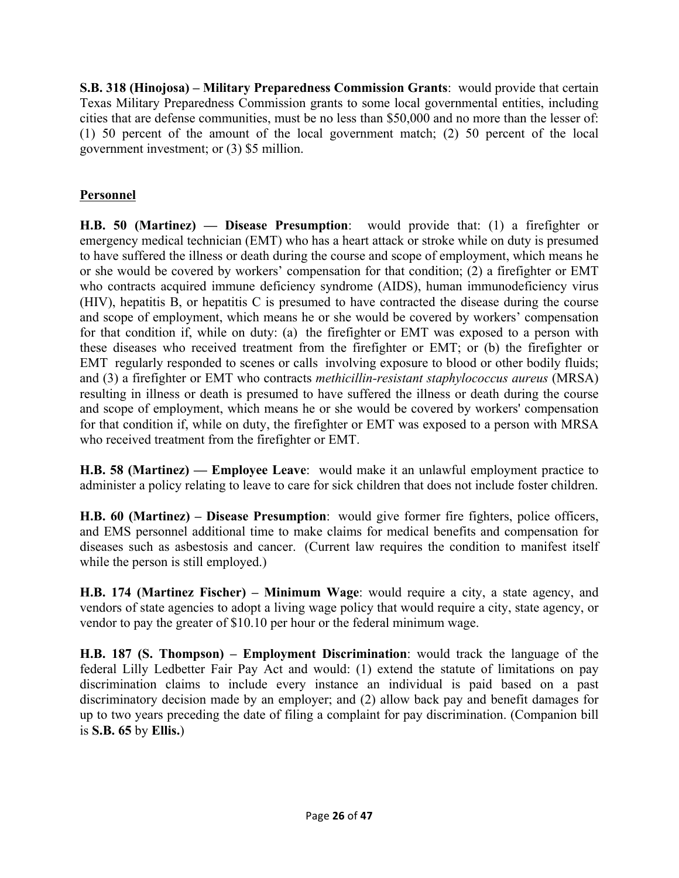**S.B. 318 (Hinojosa) – Military Preparedness Commission Grants**: would provide that certain Texas Military Preparedness Commission grants to some local governmental entities, including cities that are defense communities, must be no less than \$50,000 and no more than the lesser of: (1) 50 percent of the amount of the local government match; (2) 50 percent of the local government investment; or (3) \$5 million.

# **Personnel**

**H.B. 50 (Martinez) — Disease Presumption**: would provide that: (1) a firefighter or emergency medical technician (EMT) who has a heart attack or stroke while on duty is presumed to have suffered the illness or death during the course and scope of employment, which means he or she would be covered by workers' compensation for that condition; (2) a firefighter or EMT who contracts acquired immune deficiency syndrome (AIDS), human immunodeficiency virus (HIV), hepatitis B, or hepatitis C is presumed to have contracted the disease during the course and scope of employment, which means he or she would be covered by workers' compensation for that condition if, while on duty: (a) the firefighter or EMT was exposed to a person with these diseases who received treatment from the firefighter or EMT; or (b) the firefighter or EMT regularly responded to scenes or calls involving exposure to blood or other bodily fluids; and (3) a firefighter or EMT who contracts *methicillin-resistant staphylococcus aureus* (MRSA) resulting in illness or death is presumed to have suffered the illness or death during the course and scope of employment, which means he or she would be covered by workers' compensation for that condition if, while on duty, the firefighter or EMT was exposed to a person with MRSA who received treatment from the firefighter or EMT.

**H.B. 58 (Martinez) — Employee Leave**: would make it an unlawful employment practice to administer a policy relating to leave to care for sick children that does not include foster children.

**H.B. 60 (Martinez) – Disease Presumption**: would give former fire fighters, police officers, and EMS personnel additional time to make claims for medical benefits and compensation for diseases such as asbestosis and cancer. (Current law requires the condition to manifest itself while the person is still employed.)

**H.B. 174 (Martinez Fischer) – Minimum Wage**: would require a city, a state agency, and vendors of state agencies to adopt a living wage policy that would require a city, state agency, or vendor to pay the greater of \$10.10 per hour or the federal minimum wage.

**H.B. 187 (S. Thompson) – Employment Discrimination**: would track the language of the federal Lilly Ledbetter Fair Pay Act and would: (1) extend the statute of limitations on pay discrimination claims to include every instance an individual is paid based on a past discriminatory decision made by an employer; and (2) allow back pay and benefit damages for up to two years preceding the date of filing a complaint for pay discrimination. (Companion bill is **S.B. 65** by **Ellis.**)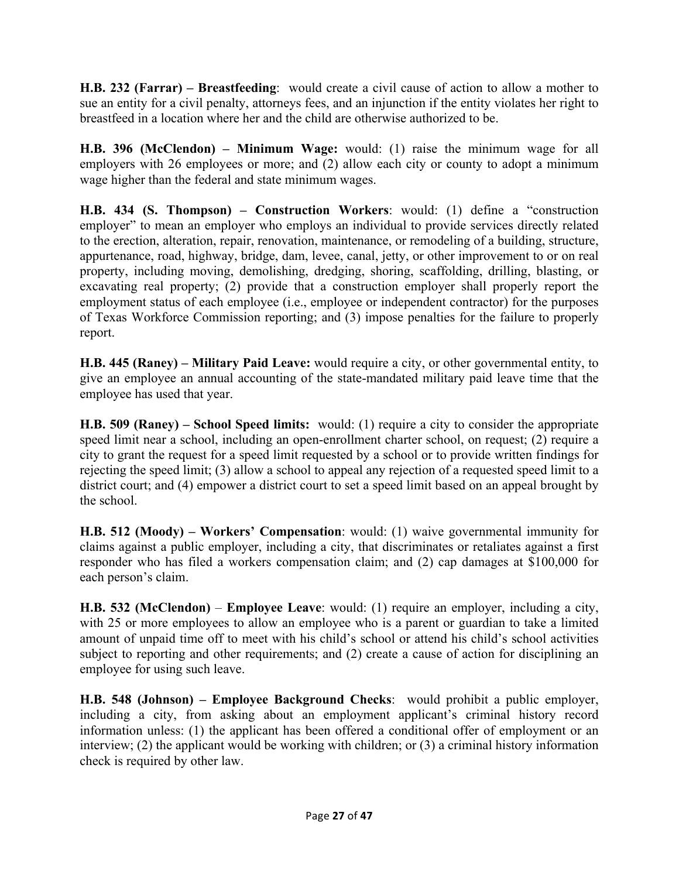**H.B. 232 (Farrar) – Breastfeeding**: would create a civil cause of action to allow a mother to sue an entity for a civil penalty, attorneys fees, and an injunction if the entity violates her right to breastfeed in a location where her and the child are otherwise authorized to be.

**H.B. 396 (McClendon) – Minimum Wage:** would: (1) raise the minimum wage for all employers with 26 employees or more; and (2) allow each city or county to adopt a minimum wage higher than the federal and state minimum wages.

**H.B. 434 (S. Thompson) – Construction Workers**: would: (1) define a "construction employer" to mean an employer who employs an individual to provide services directly related to the erection, alteration, repair, renovation, maintenance, or remodeling of a building, structure, appurtenance, road, highway, bridge, dam, levee, canal, jetty, or other improvement to or on real property, including moving, demolishing, dredging, shoring, scaffolding, drilling, blasting, or excavating real property; (2) provide that a construction employer shall properly report the employment status of each employee (i.e., employee or independent contractor) for the purposes of Texas Workforce Commission reporting; and (3) impose penalties for the failure to properly report.

**H.B. 445 (Raney) – Military Paid Leave:** would require a city, or other governmental entity, to give an employee an annual accounting of the state-mandated military paid leave time that the employee has used that year.

**H.B. 509 (Raney) – School Speed limits:** would: (1) require a city to consider the appropriate speed limit near a school, including an open-enrollment charter school, on request; (2) require a city to grant the request for a speed limit requested by a school or to provide written findings for rejecting the speed limit; (3) allow a school to appeal any rejection of a requested speed limit to a district court; and (4) empower a district court to set a speed limit based on an appeal brought by the school.

**H.B. 512 (Moody) – Workers' Compensation**: would: (1) waive governmental immunity for claims against a public employer, including a city, that discriminates or retaliates against a first responder who has filed a workers compensation claim; and (2) cap damages at \$100,000 for each person's claim.

**H.B. 532 (McClendon)** – **Employee Leave**: would: (1) require an employer, including a city, with 25 or more employees to allow an employee who is a parent or guardian to take a limited amount of unpaid time off to meet with his child's school or attend his child's school activities subject to reporting and other requirements; and (2) create a cause of action for disciplining an employee for using such leave.

**H.B. 548 (Johnson) – Employee Background Checks**: would prohibit a public employer, including a city, from asking about an employment applicant's criminal history record information unless: (1) the applicant has been offered a conditional offer of employment or an interview; (2) the applicant would be working with children; or (3) a criminal history information check is required by other law.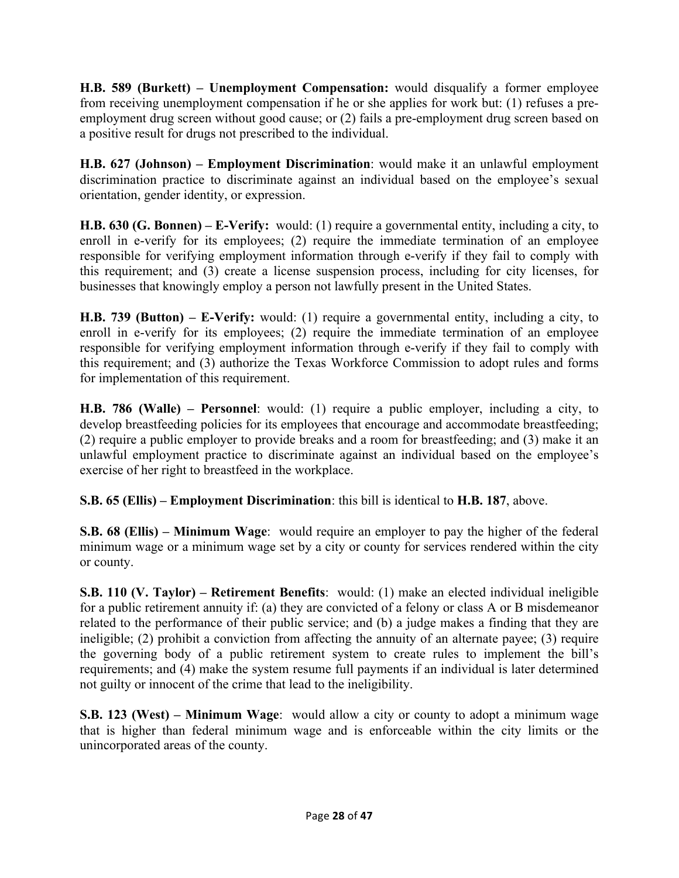**H.B. 589 (Burkett) – Unemployment Compensation:** would disqualify a former employee from receiving unemployment compensation if he or she applies for work but: (1) refuses a preemployment drug screen without good cause; or (2) fails a pre-employment drug screen based on a positive result for drugs not prescribed to the individual.

**H.B. 627 (Johnson) – Employment Discrimination**: would make it an unlawful employment discrimination practice to discriminate against an individual based on the employee's sexual orientation, gender identity, or expression.

**H.B. 630 (G. Bonnen) – E-Verify:** would: (1) require a governmental entity, including a city, to enroll in e-verify for its employees; (2) require the immediate termination of an employee responsible for verifying employment information through e-verify if they fail to comply with this requirement; and (3) create a license suspension process, including for city licenses, for businesses that knowingly employ a person not lawfully present in the United States.

**H.B. 739 (Button) – E-Verify:** would: (1) require a governmental entity, including a city, to enroll in e-verify for its employees; (2) require the immediate termination of an employee responsible for verifying employment information through e-verify if they fail to comply with this requirement; and (3) authorize the Texas Workforce Commission to adopt rules and forms for implementation of this requirement.

**H.B. 786 (Walle) – Personnel**: would: (1) require a public employer, including a city, to develop breastfeeding policies for its employees that encourage and accommodate breastfeeding; (2) require a public employer to provide breaks and a room for breastfeeding; and (3) make it an unlawful employment practice to discriminate against an individual based on the employee's exercise of her right to breastfeed in the workplace.

**S.B. 65 (Ellis) – Employment Discrimination**: this bill is identical to **H.B. 187**, above.

**S.B. 68 (Ellis) – Minimum Wage**: would require an employer to pay the higher of the federal minimum wage or a minimum wage set by a city or county for services rendered within the city or county.

**S.B. 110 (V. Taylor) – Retirement Benefits**: would: (1) make an elected individual ineligible for a public retirement annuity if: (a) they are convicted of a felony or class A or B misdemeanor related to the performance of their public service; and (b) a judge makes a finding that they are ineligible; (2) prohibit a conviction from affecting the annuity of an alternate payee; (3) require the governing body of a public retirement system to create rules to implement the bill's requirements; and (4) make the system resume full payments if an individual is later determined not guilty or innocent of the crime that lead to the ineligibility.

**S.B. 123 (West) – Minimum Wage**: would allow a city or county to adopt a minimum wage that is higher than federal minimum wage and is enforceable within the city limits or the unincorporated areas of the county.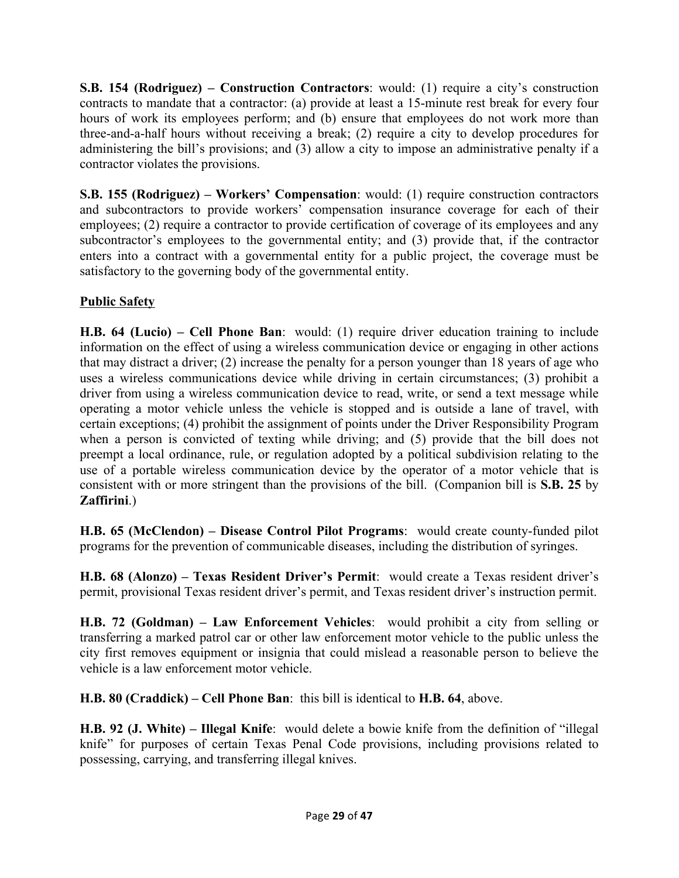**S.B. 154 (Rodriguez) – Construction Contractors**: would: (1) require a city's construction contracts to mandate that a contractor: (a) provide at least a 15-minute rest break for every four hours of work its employees perform; and (b) ensure that employees do not work more than three-and-a-half hours without receiving a break; (2) require a city to develop procedures for administering the bill's provisions; and (3) allow a city to impose an administrative penalty if a contractor violates the provisions.

**S.B. 155 (Rodriguez) – Workers' Compensation**: would: (1) require construction contractors and subcontractors to provide workers' compensation insurance coverage for each of their employees; (2) require a contractor to provide certification of coverage of its employees and any subcontractor's employees to the governmental entity; and (3) provide that, if the contractor enters into a contract with a governmental entity for a public project, the coverage must be satisfactory to the governing body of the governmental entity.

# **Public Safety**

**H.B. 64 (Lucio) – Cell Phone Ban**: would: (1) require driver education training to include information on the effect of using a wireless communication device or engaging in other actions that may distract a driver; (2) increase the penalty for a person younger than 18 years of age who uses a wireless communications device while driving in certain circumstances; (3) prohibit a driver from using a wireless communication device to read, write, or send a text message while operating a motor vehicle unless the vehicle is stopped and is outside a lane of travel, with certain exceptions; (4) prohibit the assignment of points under the Driver Responsibility Program when a person is convicted of texting while driving; and (5) provide that the bill does not preempt a local ordinance, rule, or regulation adopted by a political subdivision relating to the use of a portable wireless communication device by the operator of a motor vehicle that is consistent with or more stringent than the provisions of the bill. (Companion bill is **S.B. 25** by **Zaffirini**.)

**H.B. 65 (McClendon) – Disease Control Pilot Programs**: would create county-funded pilot programs for the prevention of communicable diseases, including the distribution of syringes.

**H.B. 68 (Alonzo) – Texas Resident Driver's Permit**: would create a Texas resident driver's permit, provisional Texas resident driver's permit, and Texas resident driver's instruction permit.

**H.B. 72 (Goldman) – Law Enforcement Vehicles**: would prohibit a city from selling or transferring a marked patrol car or other law enforcement motor vehicle to the public unless the city first removes equipment or insignia that could mislead a reasonable person to believe the vehicle is a law enforcement motor vehicle.

**H.B. 80 (Craddick) – Cell Phone Ban**: this bill is identical to **H.B. 64**, above.

**H.B. 92 (J. White) – Illegal Knife**: would delete a bowie knife from the definition of "illegal knife" for purposes of certain Texas Penal Code provisions, including provisions related to possessing, carrying, and transferring illegal knives.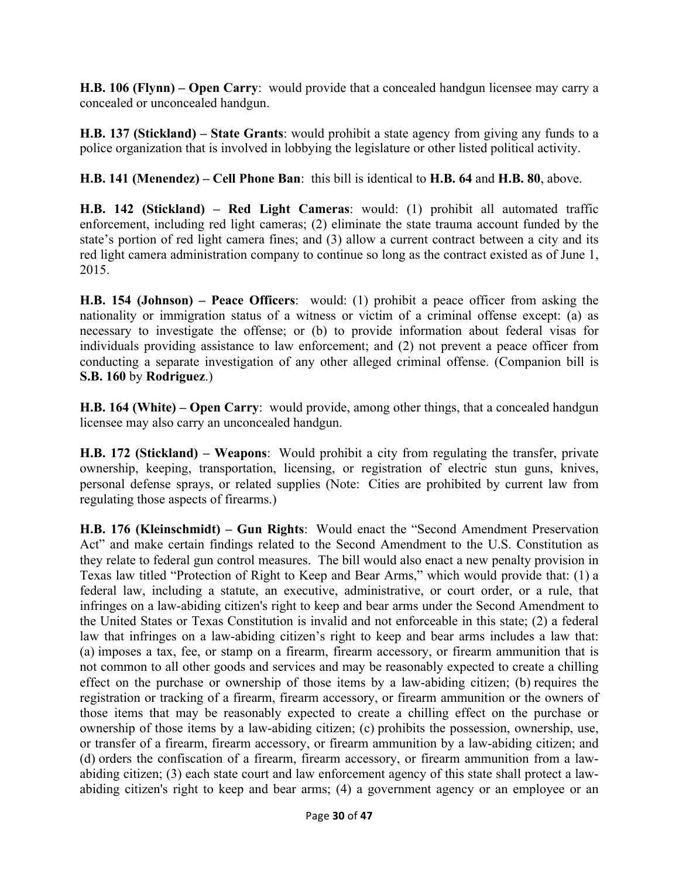**H.B. 106 (Flynn) – Open Carry**: would provide that a concealed handgun licensee may carry a concealed or unconcealed handgun.

**H.B. 137 (Stickland) – State Grants**: would prohibit a state agency from giving any funds to a police organization that is involved in lobbying the legislature or other listed political activity.

**H.B. 141 (Menendez) – Cell Phone Ban**: this bill is identical to **H.B. 64** and **H.B. 80**, above.

**H.B. 142 (Stickland) – Red Light Cameras**: would: (1) prohibit all automated traffic enforcement, including red light cameras; (2) eliminate the state trauma account funded by the state's portion of red light camera fines; and (3) allow a current contract between a city and its red light camera administration company to continue so long as the contract existed as of June 1, 2015.

**H.B. 154 (Johnson) – Peace Officers**: would: (1) prohibit a peace officer from asking the nationality or immigration status of a witness or victim of a criminal offense except: (a) as necessary to investigate the offense; or (b) to provide information about federal visas for individuals providing assistance to law enforcement; and (2) not prevent a peace officer from conducting a separate investigation of any other alleged criminal offense. (Companion bill is **S.B. 160** by **Rodriguez**.)

**H.B. 164 (White) – Open Carry**: would provide, among other things, that a concealed handgun licensee may also carry an unconcealed handgun.

**H.B. 172 (Stickland) – Weapons**: Would prohibit a city from regulating the transfer, private ownership, keeping, transportation, licensing, or registration of electric stun guns, knives, personal defense sprays, or related supplies (Note: Cities are prohibited by current law from regulating those aspects of firearms.)

**H.B. 176 (Kleinschmidt) – Gun Rights**: Would enact the "Second Amendment Preservation Act" and make certain findings related to the Second Amendment to the U.S. Constitution as they relate to federal gun control measures. The bill would also enact a new penalty provision in Texas law titled "Protection of Right to Keep and Bear Arms," which would provide that: (1) a federal law, including a statute, an executive, administrative, or court order, or a rule, that infringes on a law-abiding citizen's right to keep and bear arms under the Second Amendment to the United States or Texas Constitution is invalid and not enforceable in this state; (2) a federal law that infringes on a law-abiding citizen's right to keep and bear arms includes a law that: (a) imposes a tax, fee, or stamp on a firearm, firearm accessory, or firearm ammunition that is not common to all other goods and services and may be reasonably expected to create a chilling effect on the purchase or ownership of those items by a law-abiding citizen; (b) requires the registration or tracking of a firearm, firearm accessory, or firearm ammunition or the owners of those items that may be reasonably expected to create a chilling effect on the purchase or ownership of those items by a law-abiding citizen; (c) prohibits the possession, ownership, use, or transfer of a firearm, firearm accessory, or firearm ammunition by a law-abiding citizen; and (d) orders the confiscation of a firearm, firearm accessory, or firearm ammunition from a lawabiding citizen; (3) each state court and law enforcement agency of this state shall protect a lawabiding citizen's right to keep and bear arms; (4) a government agency or an employee or an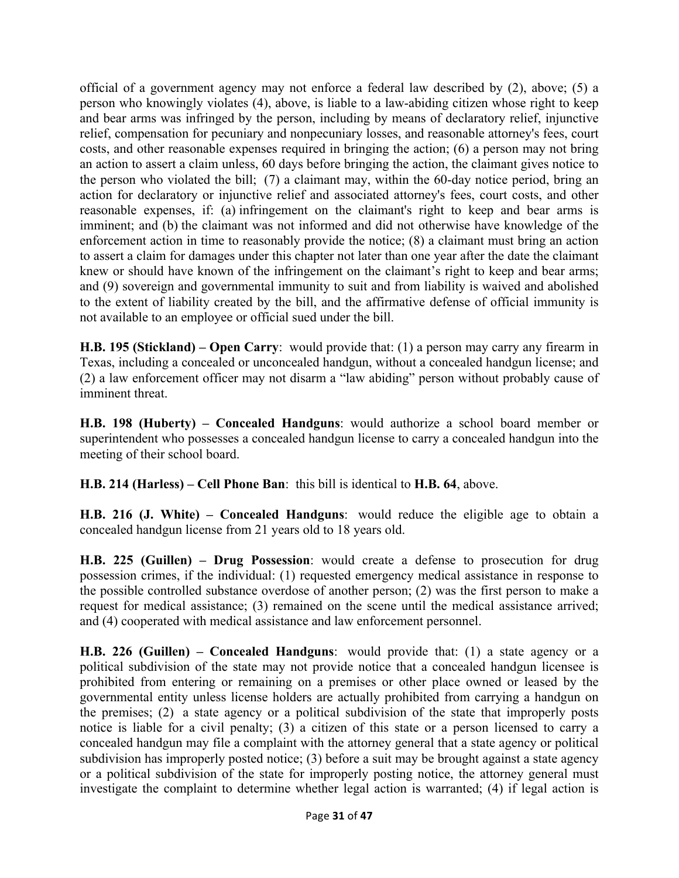official of a government agency may not enforce a federal law described by (2), above; (5) a person who knowingly violates (4), above, is liable to a law-abiding citizen whose right to keep and bear arms was infringed by the person, including by means of declaratory relief, injunctive relief, compensation for pecuniary and nonpecuniary losses, and reasonable attorney's fees, court costs, and other reasonable expenses required in bringing the action; (6) a person may not bring an action to assert a claim unless, 60 days before bringing the action, the claimant gives notice to the person who violated the bill; (7) a claimant may, within the 60-day notice period, bring an action for declaratory or injunctive relief and associated attorney's fees, court costs, and other reasonable expenses, if: (a) infringement on the claimant's right to keep and bear arms is imminent; and (b) the claimant was not informed and did not otherwise have knowledge of the enforcement action in time to reasonably provide the notice; (8) a claimant must bring an action to assert a claim for damages under this chapter not later than one year after the date the claimant knew or should have known of the infringement on the claimant's right to keep and bear arms; and (9) sovereign and governmental immunity to suit and from liability is waived and abolished to the extent of liability created by the bill, and the affirmative defense of official immunity is not available to an employee or official sued under the bill.

**H.B. 195 (Stickland) – Open Carry**: would provide that: (1) a person may carry any firearm in Texas, including a concealed or unconcealed handgun, without a concealed handgun license; and (2) a law enforcement officer may not disarm a "law abiding" person without probably cause of imminent threat.

**H.B. 198 (Huberty) – Concealed Handguns**: would authorize a school board member or superintendent who possesses a concealed handgun license to carry a concealed handgun into the meeting of their school board.

**H.B. 214 (Harless) – Cell Phone Ban**: this bill is identical to **H.B. 64**, above.

**H.B. 216 (J. White) – Concealed Handguns**: would reduce the eligible age to obtain a concealed handgun license from 21 years old to 18 years old.

**H.B. 225 (Guillen) – Drug Possession**: would create a defense to prosecution for drug possession crimes, if the individual: (1) requested emergency medical assistance in response to the possible controlled substance overdose of another person; (2) was the first person to make a request for medical assistance; (3) remained on the scene until the medical assistance arrived; and (4) cooperated with medical assistance and law enforcement personnel.

**H.B. 226 (Guillen) – Concealed Handguns**: would provide that: (1) a state agency or a political subdivision of the state may not provide notice that a concealed handgun licensee is prohibited from entering or remaining on a premises or other place owned or leased by the governmental entity unless license holders are actually prohibited from carrying a handgun on the premises; (2) a state agency or a political subdivision of the state that improperly posts notice is liable for a civil penalty; (3) a citizen of this state or a person licensed to carry a concealed handgun may file a complaint with the attorney general that a state agency or political subdivision has improperly posted notice; (3) before a suit may be brought against a state agency or a political subdivision of the state for improperly posting notice, the attorney general must investigate the complaint to determine whether legal action is warranted; (4) if legal action is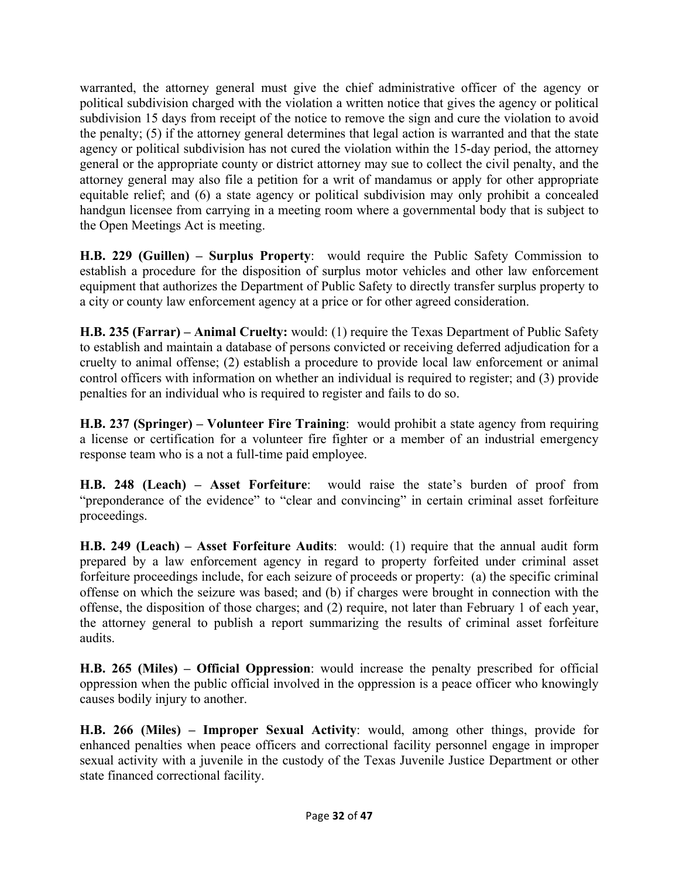warranted, the attorney general must give the chief administrative officer of the agency or political subdivision charged with the violation a written notice that gives the agency or political subdivision 15 days from receipt of the notice to remove the sign and cure the violation to avoid the penalty; (5) if the attorney general determines that legal action is warranted and that the state agency or political subdivision has not cured the violation within the 15-day period, the attorney general or the appropriate county or district attorney may sue to collect the civil penalty, and the attorney general may also file a petition for a writ of mandamus or apply for other appropriate equitable relief; and (6) a state agency or political subdivision may only prohibit a concealed handgun licensee from carrying in a meeting room where a governmental body that is subject to the Open Meetings Act is meeting.

**H.B. 229 (Guillen) – Surplus Property**: would require the Public Safety Commission to establish a procedure for the disposition of surplus motor vehicles and other law enforcement equipment that authorizes the Department of Public Safety to directly transfer surplus property to a city or county law enforcement agency at a price or for other agreed consideration.

**H.B. 235 (Farrar) – Animal Cruelty:** would: (1) require the Texas Department of Public Safety to establish and maintain a database of persons convicted or receiving deferred adjudication for a cruelty to animal offense; (2) establish a procedure to provide local law enforcement or animal control officers with information on whether an individual is required to register; and (3) provide penalties for an individual who is required to register and fails to do so.

**H.B. 237 (Springer) – Volunteer Fire Training**: would prohibit a state agency from requiring a license or certification for a volunteer fire fighter or a member of an industrial emergency response team who is a not a full-time paid employee.

**H.B. 248 (Leach) – Asset Forfeiture**: would raise the state's burden of proof from "preponderance of the evidence" to "clear and convincing" in certain criminal asset forfeiture proceedings.

**H.B. 249 (Leach) – Asset Forfeiture Audits**: would: (1) require that the annual audit form prepared by a law enforcement agency in regard to property forfeited under criminal asset forfeiture proceedings include, for each seizure of proceeds or property: (a) the specific criminal offense on which the seizure was based; and (b) if charges were brought in connection with the offense, the disposition of those charges; and (2) require, not later than February 1 of each year, the attorney general to publish a report summarizing the results of criminal asset forfeiture audits.

**H.B. 265 (Miles) – Official Oppression**: would increase the penalty prescribed for official oppression when the public official involved in the oppression is a peace officer who knowingly causes bodily injury to another.

**H.B. 266 (Miles) – Improper Sexual Activity**: would, among other things, provide for enhanced penalties when peace officers and correctional facility personnel engage in improper sexual activity with a juvenile in the custody of the Texas Juvenile Justice Department or other state financed correctional facility.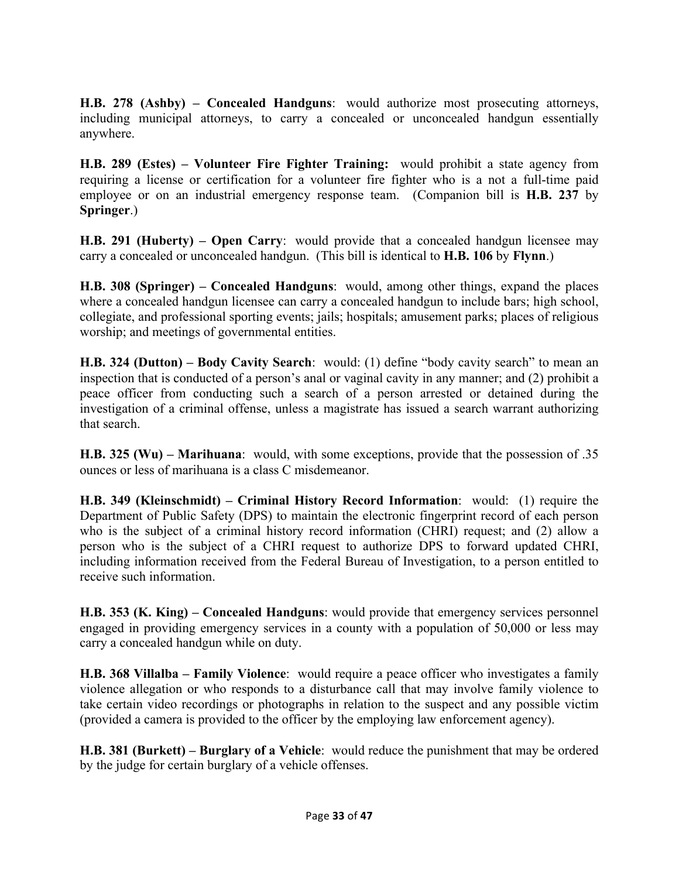**H.B. 278 (Ashby) – Concealed Handguns**: would authorize most prosecuting attorneys, including municipal attorneys, to carry a concealed or unconcealed handgun essentially anywhere.

**H.B. 289 (Estes) – Volunteer Fire Fighter Training:** would prohibit a state agency from requiring a license or certification for a volunteer fire fighter who is a not a full-time paid employee or on an industrial emergency response team. (Companion bill is **H.B. 237** by **Springer**.)

**H.B. 291 (Huberty) – Open Carry**: would provide that a concealed handgun licensee may carry a concealed or unconcealed handgun. (This bill is identical to **H.B. 106** by **Flynn**.)

**H.B. 308 (Springer) – Concealed Handguns**: would, among other things, expand the places where a concealed handgun licensee can carry a concealed handgun to include bars; high school, collegiate, and professional sporting events; jails; hospitals; amusement parks; places of religious worship; and meetings of governmental entities.

**H.B. 324 (Dutton) – Body Cavity Search**: would: (1) define "body cavity search" to mean an inspection that is conducted of a person's anal or vaginal cavity in any manner; and (2) prohibit a peace officer from conducting such a search of a person arrested or detained during the investigation of a criminal offense, unless a magistrate has issued a search warrant authorizing that search.

**H.B. 325 (Wu) – Marihuana**: would, with some exceptions, provide that the possession of .35 ounces or less of marihuana is a class C misdemeanor.

**H.B. 349 (Kleinschmidt) – Criminal History Record Information**: would: (1) require the Department of Public Safety (DPS) to maintain the electronic fingerprint record of each person who is the subject of a criminal history record information (CHRI) request; and (2) allow a person who is the subject of a CHRI request to authorize DPS to forward updated CHRI, including information received from the Federal Bureau of Investigation, to a person entitled to receive such information.

**H.B. 353 (K. King) – Concealed Handguns**: would provide that emergency services personnel engaged in providing emergency services in a county with a population of 50,000 or less may carry a concealed handgun while on duty.

**H.B. 368 Villalba – Family Violence**: would require a peace officer who investigates a family violence allegation or who responds to a disturbance call that may involve family violence to take certain video recordings or photographs in relation to the suspect and any possible victim (provided a camera is provided to the officer by the employing law enforcement agency).

**H.B. 381 (Burkett) – Burglary of a Vehicle**: would reduce the punishment that may be ordered by the judge for certain burglary of a vehicle offenses.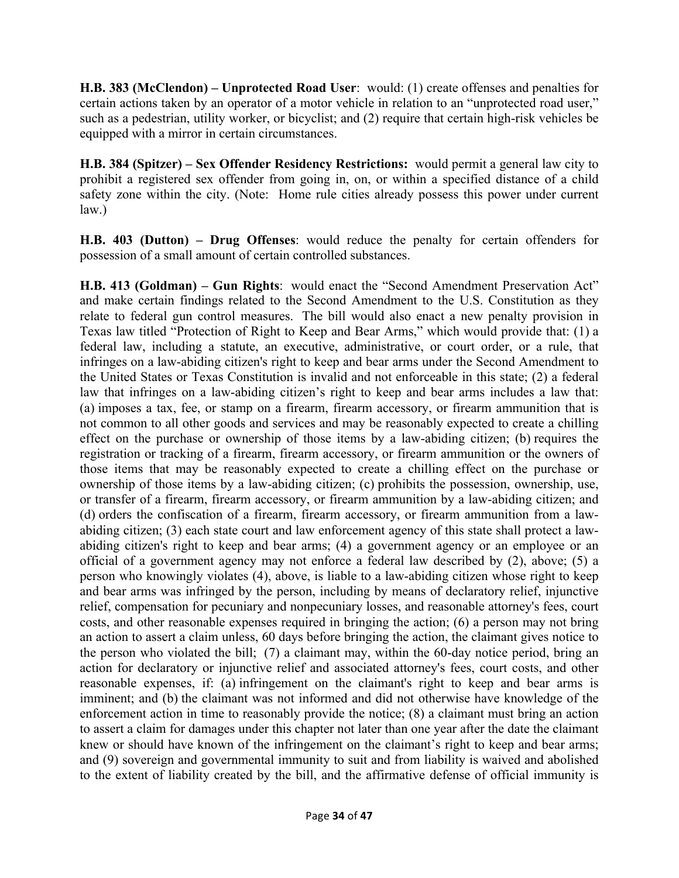**H.B. 383 (McClendon) – Unprotected Road User**: would: (1) create offenses and penalties for certain actions taken by an operator of a motor vehicle in relation to an "unprotected road user," such as a pedestrian, utility worker, or bicyclist; and (2) require that certain high-risk vehicles be equipped with a mirror in certain circumstances.

**H.B. 384 (Spitzer) – Sex Offender Residency Restrictions:** would permit a general law city to prohibit a registered sex offender from going in, on, or within a specified distance of a child safety zone within the city. (Note: Home rule cities already possess this power under current  $law<sub>l</sub>$ 

**H.B. 403 (Dutton) – Drug Offenses**: would reduce the penalty for certain offenders for possession of a small amount of certain controlled substances.

**H.B. 413 (Goldman) – Gun Rights**: would enact the "Second Amendment Preservation Act" and make certain findings related to the Second Amendment to the U.S. Constitution as they relate to federal gun control measures. The bill would also enact a new penalty provision in Texas law titled "Protection of Right to Keep and Bear Arms," which would provide that: (1) a federal law, including a statute, an executive, administrative, or court order, or a rule, that infringes on a law-abiding citizen's right to keep and bear arms under the Second Amendment to the United States or Texas Constitution is invalid and not enforceable in this state; (2) a federal law that infringes on a law-abiding citizen's right to keep and bear arms includes a law that: (a) imposes a tax, fee, or stamp on a firearm, firearm accessory, or firearm ammunition that is not common to all other goods and services and may be reasonably expected to create a chilling effect on the purchase or ownership of those items by a law-abiding citizen; (b) requires the registration or tracking of a firearm, firearm accessory, or firearm ammunition or the owners of those items that may be reasonably expected to create a chilling effect on the purchase or ownership of those items by a law-abiding citizen; (c) prohibits the possession, ownership, use, or transfer of a firearm, firearm accessory, or firearm ammunition by a law-abiding citizen; and (d) orders the confiscation of a firearm, firearm accessory, or firearm ammunition from a lawabiding citizen; (3) each state court and law enforcement agency of this state shall protect a lawabiding citizen's right to keep and bear arms; (4) a government agency or an employee or an official of a government agency may not enforce a federal law described by (2), above; (5) a person who knowingly violates (4), above, is liable to a law-abiding citizen whose right to keep and bear arms was infringed by the person, including by means of declaratory relief, injunctive relief, compensation for pecuniary and nonpecuniary losses, and reasonable attorney's fees, court costs, and other reasonable expenses required in bringing the action; (6) a person may not bring an action to assert a claim unless, 60 days before bringing the action, the claimant gives notice to the person who violated the bill; (7) a claimant may, within the 60-day notice period, bring an action for declaratory or injunctive relief and associated attorney's fees, court costs, and other reasonable expenses, if: (a) infringement on the claimant's right to keep and bear arms is imminent; and (b) the claimant was not informed and did not otherwise have knowledge of the enforcement action in time to reasonably provide the notice; (8) a claimant must bring an action to assert a claim for damages under this chapter not later than one year after the date the claimant knew or should have known of the infringement on the claimant's right to keep and bear arms; and (9) sovereign and governmental immunity to suit and from liability is waived and abolished to the extent of liability created by the bill, and the affirmative defense of official immunity is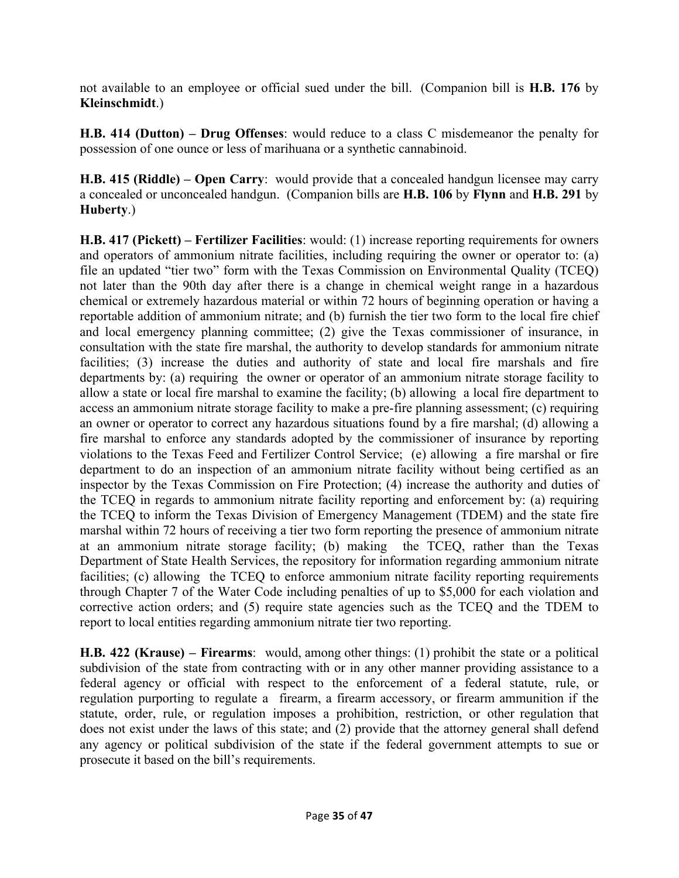not available to an employee or official sued under the bill. (Companion bill is **H.B. 176** by **Kleinschmidt**.)

**H.B. 414 (Dutton) – Drug Offenses**: would reduce to a class C misdemeanor the penalty for possession of one ounce or less of marihuana or a synthetic cannabinoid.

**H.B. 415 (Riddle) – Open Carry**: would provide that a concealed handgun licensee may carry a concealed or unconcealed handgun. (Companion bills are **H.B. 106** by **Flynn** and **H.B. 291** by **Huberty**.)

**H.B. 417 (Pickett) – Fertilizer Facilities**: would: (1) increase reporting requirements for owners and operators of ammonium nitrate facilities, including requiring the owner or operator to: (a) file an updated "tier two" form with the Texas Commission on Environmental Quality (TCEQ) not later than the 90th day after there is a change in chemical weight range in a hazardous chemical or extremely hazardous material or within 72 hours of beginning operation or having a reportable addition of ammonium nitrate; and (b) furnish the tier two form to the local fire chief and local emergency planning committee; (2) give the Texas commissioner of insurance, in consultation with the state fire marshal, the authority to develop standards for ammonium nitrate facilities; (3) increase the duties and authority of state and local fire marshals and fire departments by: (a) requiring the owner or operator of an ammonium nitrate storage facility to allow a state or local fire marshal to examine the facility; (b) allowing a local fire department to access an ammonium nitrate storage facility to make a pre-fire planning assessment; (c) requiring an owner or operator to correct any hazardous situations found by a fire marshal; (d) allowing a fire marshal to enforce any standards adopted by the commissioner of insurance by reporting violations to the Texas Feed and Fertilizer Control Service; (e) allowing a fire marshal or fire department to do an inspection of an ammonium nitrate facility without being certified as an inspector by the Texas Commission on Fire Protection; (4) increase the authority and duties of the TCEQ in regards to ammonium nitrate facility reporting and enforcement by: (a) requiring the TCEQ to inform the Texas Division of Emergency Management (TDEM) and the state fire marshal within 72 hours of receiving a tier two form reporting the presence of ammonium nitrate at an ammonium nitrate storage facility; (b) making the TCEQ, rather than the Texas Department of State Health Services, the repository for information regarding ammonium nitrate facilities; (c) allowing the TCEQ to enforce ammonium nitrate facility reporting requirements through Chapter 7 of the Water Code including penalties of up to \$5,000 for each violation and corrective action orders; and (5) require state agencies such as the TCEQ and the TDEM to report to local entities regarding ammonium nitrate tier two reporting.

**H.B. 422 (Krause) – Firearms**: would, among other things: (1) prohibit the state or a political subdivision of the state from contracting with or in any other manner providing assistance to a federal agency or official with respect to the enforcement of a federal statute, rule, or regulation purporting to regulate a firearm, a firearm accessory, or firearm ammunition if the statute, order, rule, or regulation imposes a prohibition, restriction, or other regulation that does not exist under the laws of this state; and (2) provide that the attorney general shall defend any agency or political subdivision of the state if the federal government attempts to sue or prosecute it based on the bill's requirements.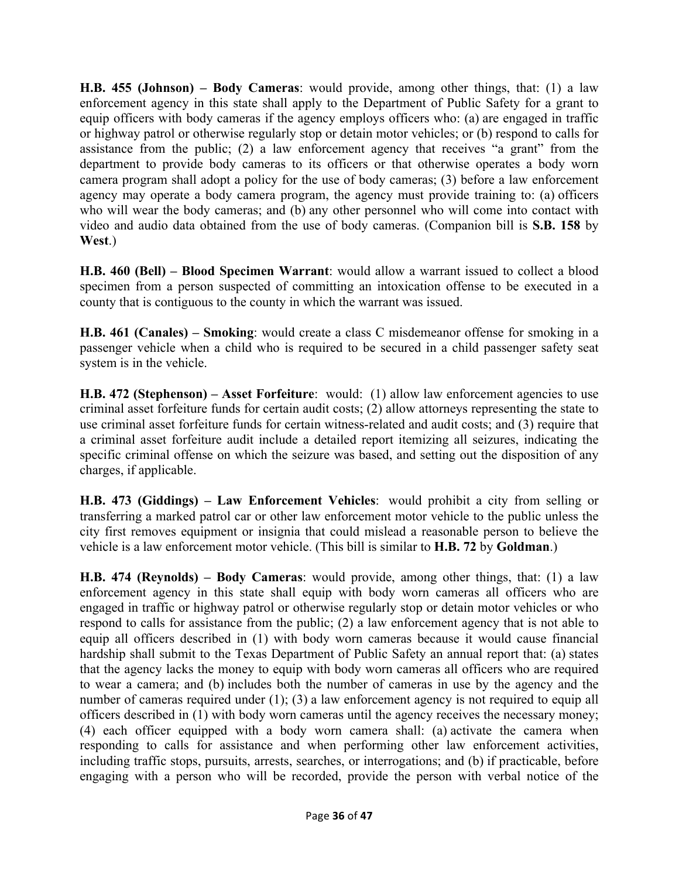**H.B. 455 (Johnson) – Body Cameras**: would provide, among other things, that: (1) a law enforcement agency in this state shall apply to the Department of Public Safety for a grant to equip officers with body cameras if the agency employs officers who: (a) are engaged in traffic or highway patrol or otherwise regularly stop or detain motor vehicles; or (b) respond to calls for assistance from the public; (2) a law enforcement agency that receives "a grant" from the department to provide body cameras to its officers or that otherwise operates a body worn camera program shall adopt a policy for the use of body cameras; (3) before a law enforcement agency may operate a body camera program, the agency must provide training to: (a) officers who will wear the body cameras; and (b) any other personnel who will come into contact with video and audio data obtained from the use of body cameras. (Companion bill is **S.B. 158** by **West**.)

**H.B. 460 (Bell) – Blood Specimen Warrant**: would allow a warrant issued to collect a blood specimen from a person suspected of committing an intoxication offense to be executed in a county that is contiguous to the county in which the warrant was issued.

**H.B. 461 (Canales) – Smoking**: would create a class C misdemeanor offense for smoking in a passenger vehicle when a child who is required to be secured in a child passenger safety seat system is in the vehicle.

**H.B. 472 (Stephenson) – Asset Forfeiture**: would: (1) allow law enforcement agencies to use criminal asset forfeiture funds for certain audit costs; (2) allow attorneys representing the state to use criminal asset forfeiture funds for certain witness-related and audit costs; and (3) require that a criminal asset forfeiture audit include a detailed report itemizing all seizures, indicating the specific criminal offense on which the seizure was based, and setting out the disposition of any charges, if applicable.

**H.B. 473 (Giddings) – Law Enforcement Vehicles**: would prohibit a city from selling or transferring a marked patrol car or other law enforcement motor vehicle to the public unless the city first removes equipment or insignia that could mislead a reasonable person to believe the vehicle is a law enforcement motor vehicle. (This bill is similar to **H.B. 72** by **Goldman**.)

**H.B. 474 (Reynolds) – Body Cameras**: would provide, among other things, that: (1) a law enforcement agency in this state shall equip with body worn cameras all officers who are engaged in traffic or highway patrol or otherwise regularly stop or detain motor vehicles or who respond to calls for assistance from the public; (2) a law enforcement agency that is not able to equip all officers described in (1) with body worn cameras because it would cause financial hardship shall submit to the Texas Department of Public Safety an annual report that: (a) states that the agency lacks the money to equip with body worn cameras all officers who are required to wear a camera; and (b) includes both the number of cameras in use by the agency and the number of cameras required under (1); (3) a law enforcement agency is not required to equip all officers described in (1) with body worn cameras until the agency receives the necessary money; (4) each officer equipped with a body worn camera shall: (a) activate the camera when responding to calls for assistance and when performing other law enforcement activities, including traffic stops, pursuits, arrests, searches, or interrogations; and (b) if practicable, before engaging with a person who will be recorded, provide the person with verbal notice of the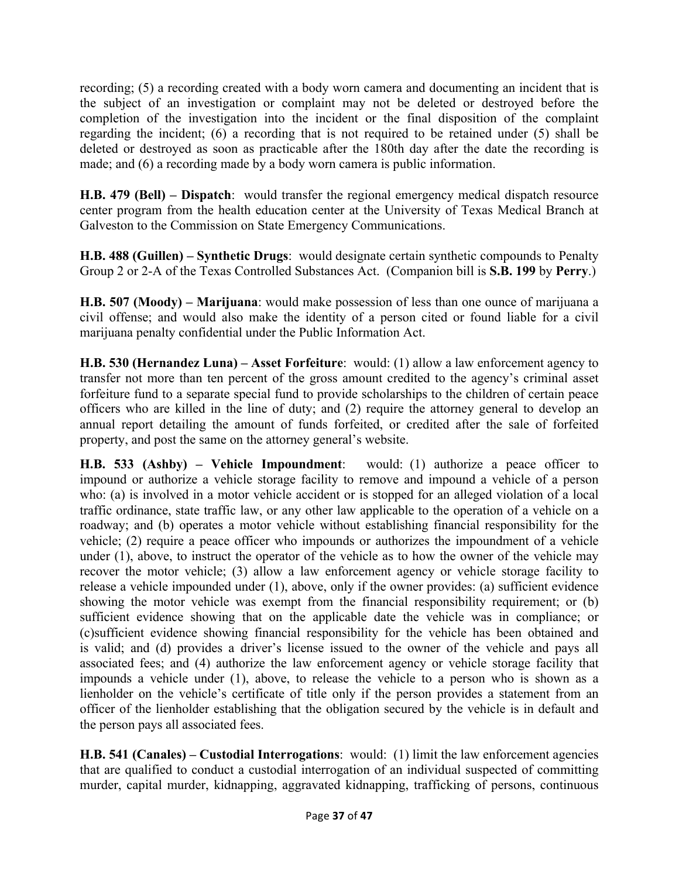recording; (5) a recording created with a body worn camera and documenting an incident that is the subject of an investigation or complaint may not be deleted or destroyed before the completion of the investigation into the incident or the final disposition of the complaint regarding the incident; (6) a recording that is not required to be retained under (5) shall be deleted or destroyed as soon as practicable after the 180th day after the date the recording is made; and (6) a recording made by a body worn camera is public information.

**H.B. 479 (Bell) – Dispatch**: would transfer the regional emergency medical dispatch resource center program from the health education center at the University of Texas Medical Branch at Galveston to the Commission on State Emergency Communications.

**H.B. 488 (Guillen) – Synthetic Drugs**: would designate certain synthetic compounds to Penalty Group 2 or 2-A of the Texas Controlled Substances Act. (Companion bill is **S.B. 199** by **Perry**.)

**H.B. 507 (Moody) – Marijuana**: would make possession of less than one ounce of marijuana a civil offense; and would also make the identity of a person cited or found liable for a civil marijuana penalty confidential under the Public Information Act.

**H.B. 530 (Hernandez Luna) – Asset Forfeiture**: would: (1) allow a law enforcement agency to transfer not more than ten percent of the gross amount credited to the agency's criminal asset forfeiture fund to a separate special fund to provide scholarships to the children of certain peace officers who are killed in the line of duty; and (2) require the attorney general to develop an annual report detailing the amount of funds forfeited, or credited after the sale of forfeited property, and post the same on the attorney general's website.

**H.B. 533 (Ashby) – Vehicle Impoundment**: would: (1) authorize a peace officer to impound or authorize a vehicle storage facility to remove and impound a vehicle of a person who: (a) is involved in a motor vehicle accident or is stopped for an alleged violation of a local traffic ordinance, state traffic law, or any other law applicable to the operation of a vehicle on a roadway; and (b) operates a motor vehicle without establishing financial responsibility for the vehicle; (2) require a peace officer who impounds or authorizes the impoundment of a vehicle under (1), above, to instruct the operator of the vehicle as to how the owner of the vehicle may recover the motor vehicle; (3) allow a law enforcement agency or vehicle storage facility to release a vehicle impounded under (1), above, only if the owner provides: (a) sufficient evidence showing the motor vehicle was exempt from the financial responsibility requirement; or (b) sufficient evidence showing that on the applicable date the vehicle was in compliance; or (c)sufficient evidence showing financial responsibility for the vehicle has been obtained and is valid; and (d) provides a driver's license issued to the owner of the vehicle and pays all associated fees; and (4) authorize the law enforcement agency or vehicle storage facility that impounds a vehicle under (1), above, to release the vehicle to a person who is shown as a lienholder on the vehicle's certificate of title only if the person provides a statement from an officer of the lienholder establishing that the obligation secured by the vehicle is in default and the person pays all associated fees.

**H.B. 541 (Canales) – Custodial Interrogations**: would: (1) limit the law enforcement agencies that are qualified to conduct a custodial interrogation of an individual suspected of committing murder, capital murder, kidnapping, aggravated kidnapping, trafficking of persons, continuous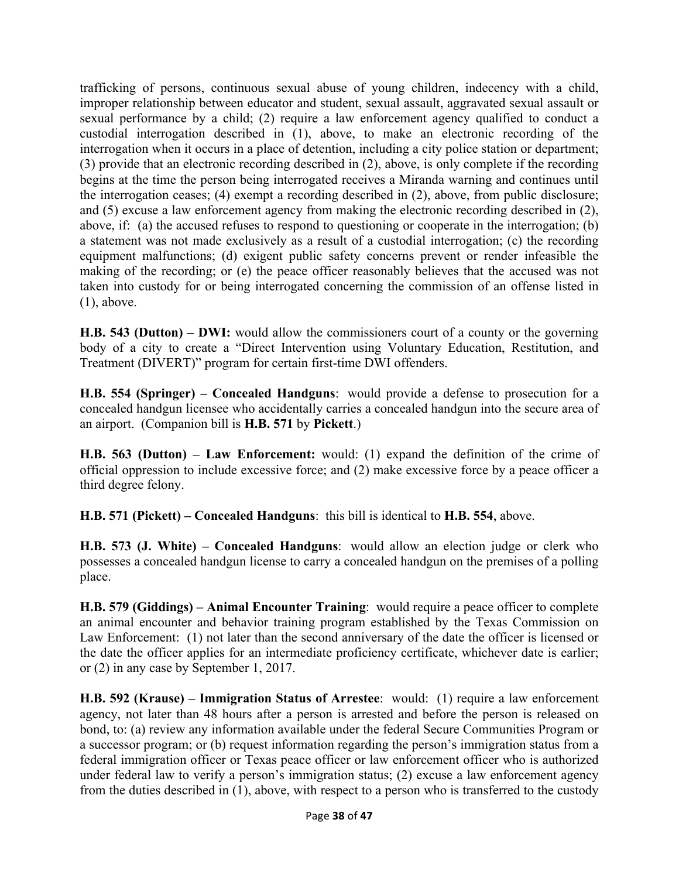trafficking of persons, continuous sexual abuse of young children, indecency with a child, improper relationship between educator and student, sexual assault, aggravated sexual assault or sexual performance by a child; (2) require a law enforcement agency qualified to conduct a custodial interrogation described in (1), above, to make an electronic recording of the interrogation when it occurs in a place of detention, including a city police station or department; (3) provide that an electronic recording described in (2), above, is only complete if the recording begins at the time the person being interrogated receives a Miranda warning and continues until the interrogation ceases; (4) exempt a recording described in (2), above, from public disclosure; and (5) excuse a law enforcement agency from making the electronic recording described in (2), above, if: (a) the accused refuses to respond to questioning or cooperate in the interrogation; (b) a statement was not made exclusively as a result of a custodial interrogation; (c) the recording equipment malfunctions; (d) exigent public safety concerns prevent or render infeasible the making of the recording; or (e) the peace officer reasonably believes that the accused was not taken into custody for or being interrogated concerning the commission of an offense listed in (1), above.

**H.B. 543 (Dutton) – DWI:** would allow the commissioners court of a county or the governing body of a city to create a "Direct Intervention using Voluntary Education, Restitution, and Treatment (DIVERT)" program for certain first-time DWI offenders.

**H.B. 554 (Springer) – Concealed Handguns**: would provide a defense to prosecution for a concealed handgun licensee who accidentally carries a concealed handgun into the secure area of an airport. (Companion bill is **H.B. 571** by **Pickett**.)

**H.B. 563 (Dutton) – Law Enforcement:** would: (1) expand the definition of the crime of official oppression to include excessive force; and (2) make excessive force by a peace officer a third degree felony.

**H.B. 571 (Pickett) – Concealed Handguns**: this bill is identical to **H.B. 554**, above.

**H.B. 573 (J. White) – Concealed Handguns**: would allow an election judge or clerk who possesses a concealed handgun license to carry a concealed handgun on the premises of a polling place.

**H.B. 579 (Giddings) – Animal Encounter Training**: would require a peace officer to complete an animal encounter and behavior training program established by the Texas Commission on Law Enforcement: (1) not later than the second anniversary of the date the officer is licensed or the date the officer applies for an intermediate proficiency certificate, whichever date is earlier; or (2) in any case by September 1, 2017.

**H.B. 592 (Krause) – Immigration Status of Arrestee**: would: (1) require a law enforcement agency, not later than 48 hours after a person is arrested and before the person is released on bond, to: (a) review any information available under the federal Secure Communities Program or a successor program; or (b) request information regarding the person's immigration status from a federal immigration officer or Texas peace officer or law enforcement officer who is authorized under federal law to verify a person's immigration status; (2) excuse a law enforcement agency from the duties described in (1), above, with respect to a person who is transferred to the custody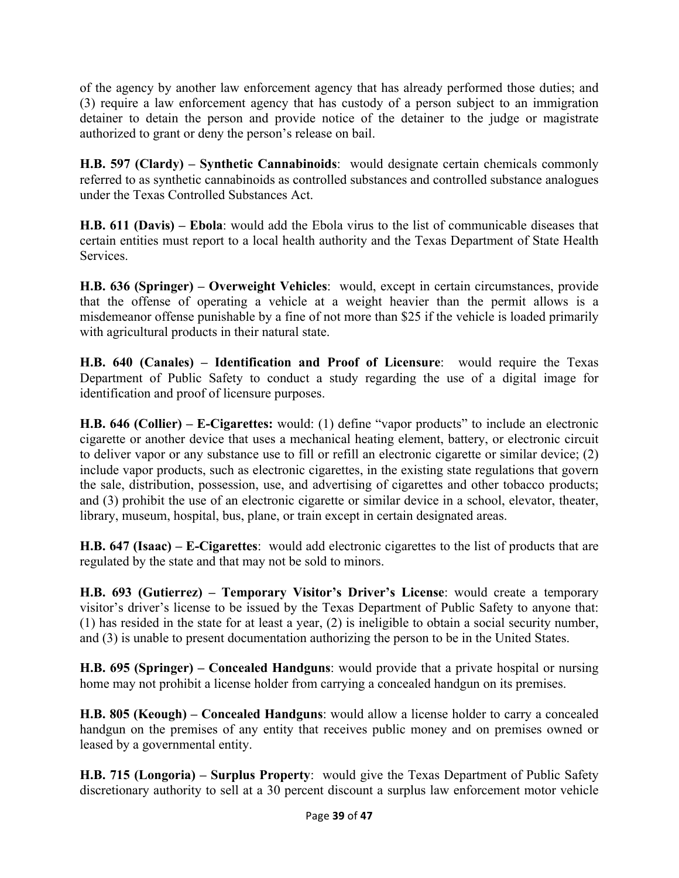of the agency by another law enforcement agency that has already performed those duties; and (3) require a law enforcement agency that has custody of a person subject to an immigration detainer to detain the person and provide notice of the detainer to the judge or magistrate authorized to grant or deny the person's release on bail.

**H.B. 597 (Clardy) – Synthetic Cannabinoids**: would designate certain chemicals commonly referred to as synthetic cannabinoids as controlled substances and controlled substance analogues under the Texas Controlled Substances Act.

**H.B. 611 (Davis) – Ebola**: would add the Ebola virus to the list of communicable diseases that certain entities must report to a local health authority and the Texas Department of State Health **Services** 

**H.B. 636 (Springer) – Overweight Vehicles**: would, except in certain circumstances, provide that the offense of operating a vehicle at a weight heavier than the permit allows is a misdemeanor offense punishable by a fine of not more than \$25 if the vehicle is loaded primarily with agricultural products in their natural state.

**H.B. 640 (Canales) – Identification and Proof of Licensure**: would require the Texas Department of Public Safety to conduct a study regarding the use of a digital image for identification and proof of licensure purposes.

**H.B. 646 (Collier) – E-Cigarettes:** would: (1) define "vapor products" to include an electronic cigarette or another device that uses a mechanical heating element, battery, or electronic circuit to deliver vapor or any substance use to fill or refill an electronic cigarette or similar device; (2) include vapor products, such as electronic cigarettes, in the existing state regulations that govern the sale, distribution, possession, use, and advertising of cigarettes and other tobacco products; and (3) prohibit the use of an electronic cigarette or similar device in a school, elevator, theater, library, museum, hospital, bus, plane, or train except in certain designated areas.

**H.B. 647 (Isaac) – E-Cigarettes**: would add electronic cigarettes to the list of products that are regulated by the state and that may not be sold to minors.

**H.B. 693 (Gutierrez) – Temporary Visitor's Driver's License**: would create a temporary visitor's driver's license to be issued by the Texas Department of Public Safety to anyone that: (1) has resided in the state for at least a year, (2) is ineligible to obtain a social security number, and (3) is unable to present documentation authorizing the person to be in the United States.

**H.B. 695 (Springer) – Concealed Handguns**: would provide that a private hospital or nursing home may not prohibit a license holder from carrying a concealed handgun on its premises.

**H.B. 805 (Keough) – Concealed Handguns**: would allow a license holder to carry a concealed handgun on the premises of any entity that receives public money and on premises owned or leased by a governmental entity.

**H.B. 715 (Longoria) – Surplus Property**: would give the Texas Department of Public Safety discretionary authority to sell at a 30 percent discount a surplus law enforcement motor vehicle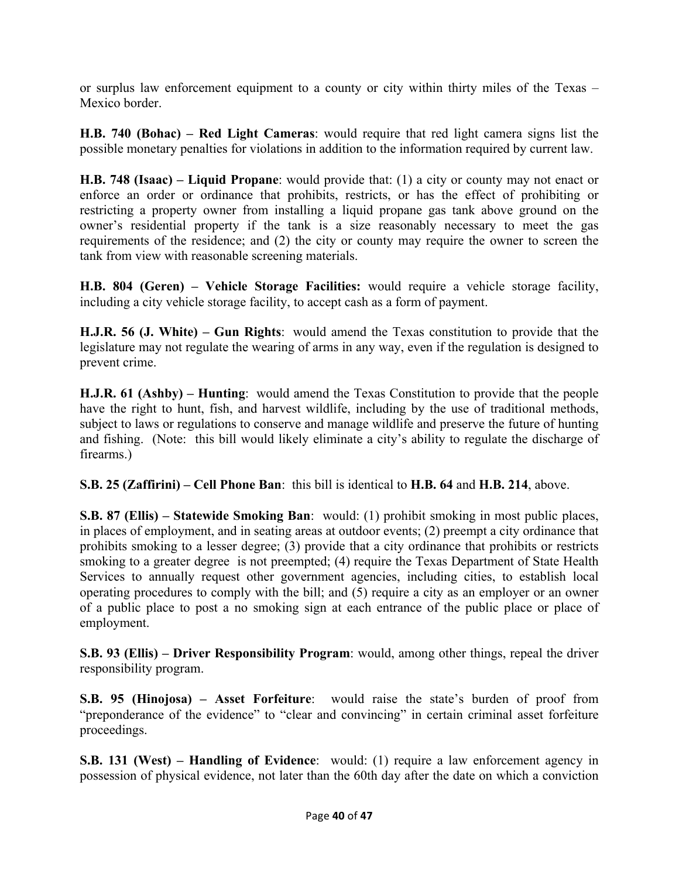or surplus law enforcement equipment to a county or city within thirty miles of the Texas – Mexico border.

**H.B. 740 (Bohac) – Red Light Cameras**: would require that red light camera signs list the possible monetary penalties for violations in addition to the information required by current law.

**H.B. 748 (Isaac) – Liquid Propane**: would provide that: (1) a city or county may not enact or enforce an order or ordinance that prohibits, restricts, or has the effect of prohibiting or restricting a property owner from installing a liquid propane gas tank above ground on the owner's residential property if the tank is a size reasonably necessary to meet the gas requirements of the residence; and (2) the city or county may require the owner to screen the tank from view with reasonable screening materials.

**H.B. 804 (Geren) – Vehicle Storage Facilities:** would require a vehicle storage facility, including a city vehicle storage facility, to accept cash as a form of payment.

**H.J.R. 56 (J. White) – Gun Rights**: would amend the Texas constitution to provide that the legislature may not regulate the wearing of arms in any way, even if the regulation is designed to prevent crime.

**H.J.R. 61 (Ashby) – Hunting**: would amend the Texas Constitution to provide that the people have the right to hunt, fish, and harvest wildlife, including by the use of traditional methods, subject to laws or regulations to conserve and manage wildlife and preserve the future of hunting and fishing. (Note: this bill would likely eliminate a city's ability to regulate the discharge of firearms.)

**S.B. 25 (Zaffirini) – Cell Phone Ban**: this bill is identical to **H.B. 64** and **H.B. 214**, above.

**S.B. 87 (Ellis) – Statewide Smoking Ban**: would: (1) prohibit smoking in most public places, in places of employment, and in seating areas at outdoor events; (2) preempt a city ordinance that prohibits smoking to a lesser degree; (3) provide that a city ordinance that prohibits or restricts smoking to a greater degree is not preempted; (4) require the Texas Department of State Health Services to annually request other government agencies, including cities, to establish local operating procedures to comply with the bill; and  $(5)$  require a city as an employer or an owner of a public place to post a no smoking sign at each entrance of the public place or place of employment.

**S.B. 93 (Ellis) – Driver Responsibility Program**: would, among other things, repeal the driver responsibility program.

**S.B. 95 (Hinojosa) – Asset Forfeiture**: would raise the state's burden of proof from "preponderance of the evidence" to "clear and convincing" in certain criminal asset forfeiture proceedings.

**S.B. 131 (West) – Handling of Evidence**: would: (1) require a law enforcement agency in possession of physical evidence, not later than the 60th day after the date on which a conviction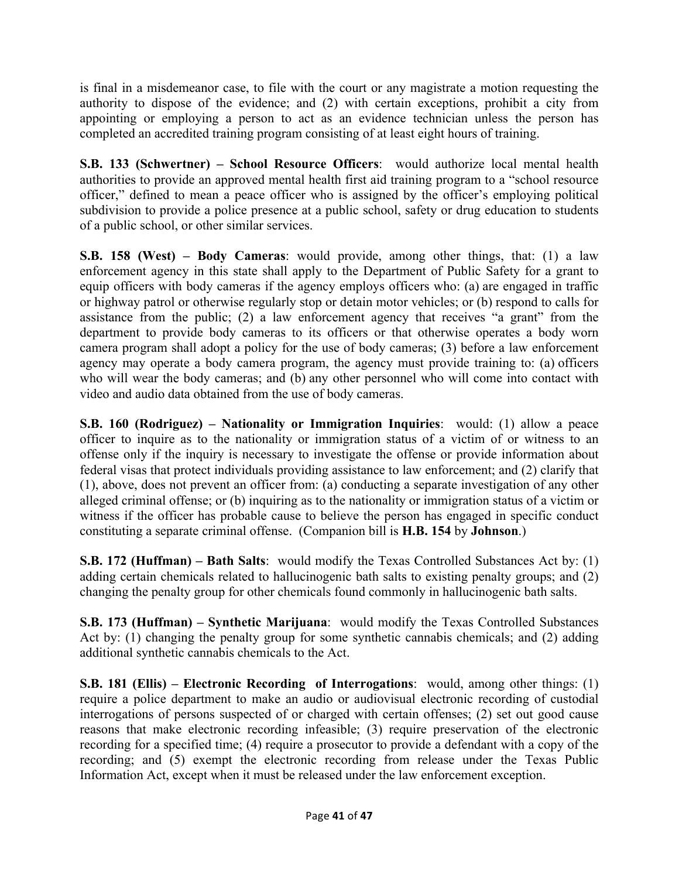is final in a misdemeanor case, to file with the court or any magistrate a motion requesting the authority to dispose of the evidence; and (2) with certain exceptions, prohibit a city from appointing or employing a person to act as an evidence technician unless the person has completed an accredited training program consisting of at least eight hours of training.

**S.B. 133 (Schwertner) – School Resource Officers**: would authorize local mental health authorities to provide an approved mental health first aid training program to a "school resource officer," defined to mean a peace officer who is assigned by the officer's employing political subdivision to provide a police presence at a public school, safety or drug education to students of a public school, or other similar services.

**S.B. 158 (West) – Body Cameras**: would provide, among other things, that: (1) a law enforcement agency in this state shall apply to the Department of Public Safety for a grant to equip officers with body cameras if the agency employs officers who: (a) are engaged in traffic or highway patrol or otherwise regularly stop or detain motor vehicles; or (b) respond to calls for assistance from the public; (2) a law enforcement agency that receives "a grant" from the department to provide body cameras to its officers or that otherwise operates a body worn camera program shall adopt a policy for the use of body cameras; (3) before a law enforcement agency may operate a body camera program, the agency must provide training to: (a) officers who will wear the body cameras; and (b) any other personnel who will come into contact with video and audio data obtained from the use of body cameras.

**S.B. 160 (Rodriguez) – Nationality or Immigration Inquiries**: would: (1) allow a peace officer to inquire as to the nationality or immigration status of a victim of or witness to an offense only if the inquiry is necessary to investigate the offense or provide information about federal visas that protect individuals providing assistance to law enforcement; and (2) clarify that (1), above, does not prevent an officer from: (a) conducting a separate investigation of any other alleged criminal offense; or (b) inquiring as to the nationality or immigration status of a victim or witness if the officer has probable cause to believe the person has engaged in specific conduct constituting a separate criminal offense. (Companion bill is **H.B. 154** by **Johnson**.)

**S.B. 172 (Huffman) – Bath Salts**: would modify the Texas Controlled Substances Act by: (1) adding certain chemicals related to hallucinogenic bath salts to existing penalty groups; and (2) changing the penalty group for other chemicals found commonly in hallucinogenic bath salts.

**S.B. 173 (Huffman) – Synthetic Marijuana**: would modify the Texas Controlled Substances Act by: (1) changing the penalty group for some synthetic cannabis chemicals; and (2) adding additional synthetic cannabis chemicals to the Act.

**S.B. 181 (Ellis) – Electronic Recording of Interrogations**: would, among other things: (1) require a police department to make an audio or audiovisual electronic recording of custodial interrogations of persons suspected of or charged with certain offenses; (2) set out good cause reasons that make electronic recording infeasible; (3) require preservation of the electronic recording for a specified time; (4) require a prosecutor to provide a defendant with a copy of the recording; and (5) exempt the electronic recording from release under the Texas Public Information Act, except when it must be released under the law enforcement exception.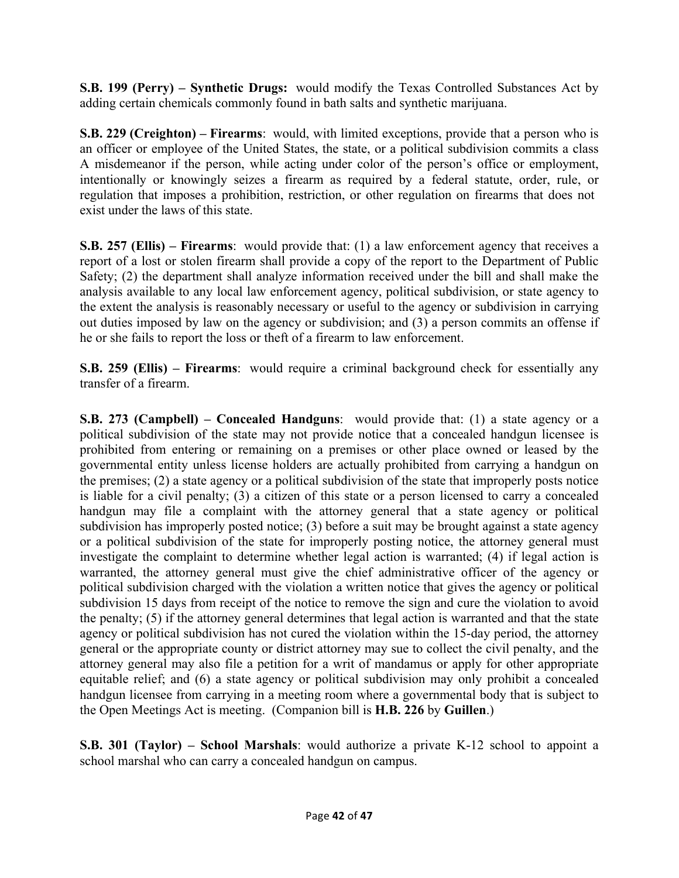**S.B. 199 (Perry) – Synthetic Drugs:** would modify the Texas Controlled Substances Act by adding certain chemicals commonly found in bath salts and synthetic marijuana.

**S.B. 229 (Creighton) – Firearms**: would, with limited exceptions, provide that a person who is an officer or employee of the United States, the state, or a political subdivision commits a class A misdemeanor if the person, while acting under color of the person's office or employment, intentionally or knowingly seizes a firearm as required by a federal statute, order, rule, or regulation that imposes a prohibition, restriction, or other regulation on firearms that does not exist under the laws of this state.

**S.B. 257 (Ellis) – Firearms**: would provide that: (1) a law enforcement agency that receives a report of a lost or stolen firearm shall provide a copy of the report to the Department of Public Safety; (2) the department shall analyze information received under the bill and shall make the analysis available to any local law enforcement agency, political subdivision, or state agency to the extent the analysis is reasonably necessary or useful to the agency or subdivision in carrying out duties imposed by law on the agency or subdivision; and (3) a person commits an offense if he or she fails to report the loss or theft of a firearm to law enforcement.

**S.B. 259 (Ellis) – Firearms**: would require a criminal background check for essentially any transfer of a firearm.

**S.B. 273 (Campbell) – Concealed Handguns**: would provide that: (1) a state agency or a political subdivision of the state may not provide notice that a concealed handgun licensee is prohibited from entering or remaining on a premises or other place owned or leased by the governmental entity unless license holders are actually prohibited from carrying a handgun on the premises; (2) a state agency or a political subdivision of the state that improperly posts notice is liable for a civil penalty; (3) a citizen of this state or a person licensed to carry a concealed handgun may file a complaint with the attorney general that a state agency or political subdivision has improperly posted notice; (3) before a suit may be brought against a state agency or a political subdivision of the state for improperly posting notice, the attorney general must investigate the complaint to determine whether legal action is warranted; (4) if legal action is warranted, the attorney general must give the chief administrative officer of the agency or political subdivision charged with the violation a written notice that gives the agency or political subdivision 15 days from receipt of the notice to remove the sign and cure the violation to avoid the penalty; (5) if the attorney general determines that legal action is warranted and that the state agency or political subdivision has not cured the violation within the 15-day period, the attorney general or the appropriate county or district attorney may sue to collect the civil penalty, and the attorney general may also file a petition for a writ of mandamus or apply for other appropriate equitable relief; and (6) a state agency or political subdivision may only prohibit a concealed handgun licensee from carrying in a meeting room where a governmental body that is subject to the Open Meetings Act is meeting. (Companion bill is **H.B. 226** by **Guillen**.)

**S.B. 301 (Taylor) – School Marshals**: would authorize a private K-12 school to appoint a school marshal who can carry a concealed handgun on campus.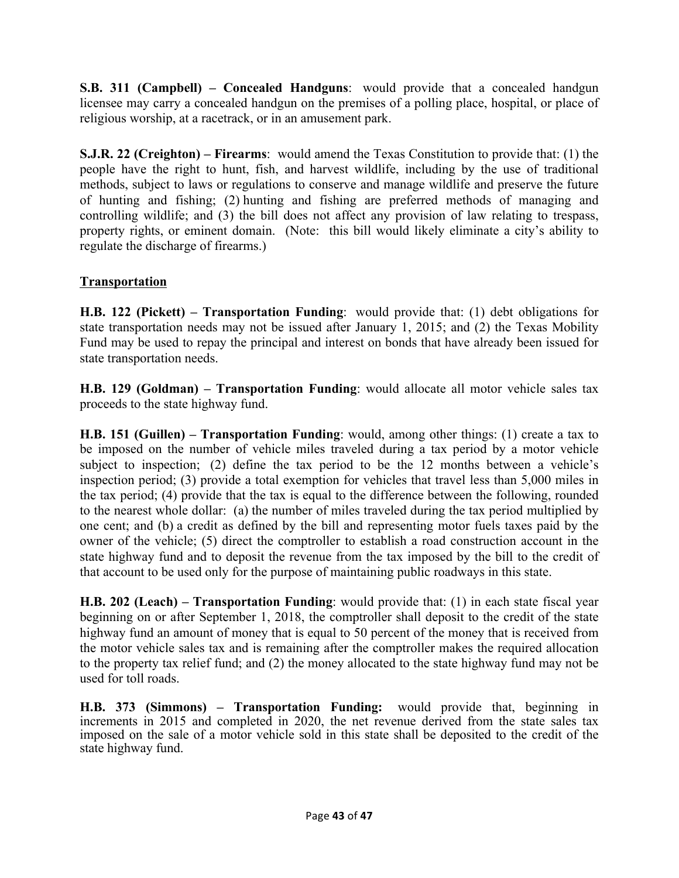**S.B. 311 (Campbell) – Concealed Handguns**: would provide that a concealed handgun licensee may carry a concealed handgun on the premises of a polling place, hospital, or place of religious worship, at a racetrack, or in an amusement park.

**S.J.R. 22 (Creighton) – Firearms**: would amend the Texas Constitution to provide that: (1) the people have the right to hunt, fish, and harvest wildlife, including by the use of traditional methods, subject to laws or regulations to conserve and manage wildlife and preserve the future of hunting and fishing; (2) hunting and fishing are preferred methods of managing and controlling wildlife; and (3) the bill does not affect any provision of law relating to trespass, property rights, or eminent domain. (Note: this bill would likely eliminate a city's ability to regulate the discharge of firearms.)

## **Transportation**

**H.B. 122 (Pickett) – Transportation Funding**: would provide that: (1) debt obligations for state transportation needs may not be issued after January 1, 2015; and (2) the Texas Mobility Fund may be used to repay the principal and interest on bonds that have already been issued for state transportation needs.

**H.B. 129 (Goldman) – Transportation Funding**: would allocate all motor vehicle sales tax proceeds to the state highway fund.

**H.B. 151 (Guillen) – Transportation Funding**: would, among other things: (1) create a tax to be imposed on the number of vehicle miles traveled during a tax period by a motor vehicle subject to inspection; (2) define the tax period to be the 12 months between a vehicle's inspection period; (3) provide a total exemption for vehicles that travel less than 5,000 miles in the tax period; (4) provide that the tax is equal to the difference between the following, rounded to the nearest whole dollar: (a) the number of miles traveled during the tax period multiplied by one cent; and (b) a credit as defined by the bill and representing motor fuels taxes paid by the owner of the vehicle; (5) direct the comptroller to establish a road construction account in the state highway fund and to deposit the revenue from the tax imposed by the bill to the credit of that account to be used only for the purpose of maintaining public roadways in this state.

**H.B. 202 (Leach) – Transportation Funding**: would provide that: (1) in each state fiscal year beginning on or after September 1, 2018, the comptroller shall deposit to the credit of the state highway fund an amount of money that is equal to 50 percent of the money that is received from the motor vehicle sales tax and is remaining after the comptroller makes the required allocation to the property tax relief fund; and (2) the money allocated to the state highway fund may not be used for toll roads.

**H.B. 373 (Simmons) – Transportation Funding:** would provide that, beginning in increments in 2015 and completed in 2020, the net revenue derived from the state sales tax imposed on the sale of a motor vehicle sold in this state shall be deposited to the credit of the state highway fund.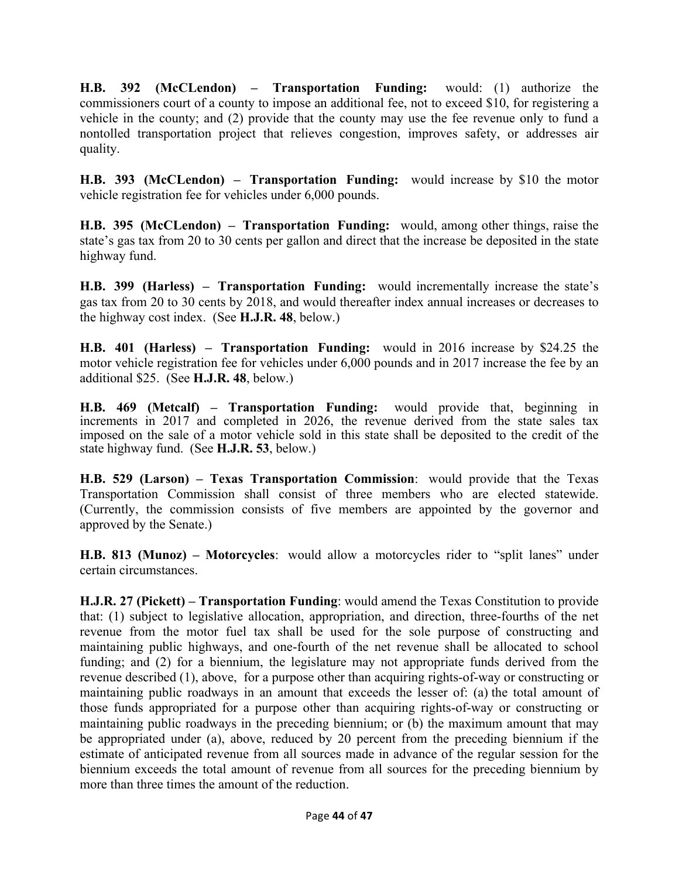**H.B. 392 (McCLendon) – Transportation Funding:** would: (1) authorize the commissioners court of a county to impose an additional fee, not to exceed \$10, for registering a vehicle in the county; and (2) provide that the county may use the fee revenue only to fund a nontolled transportation project that relieves congestion, improves safety, or addresses air quality.

**H.B. 393 (McCLendon) – Transportation Funding:** would increase by \$10 the motor vehicle registration fee for vehicles under 6,000 pounds.

**H.B. 395 (McCLendon) – Transportation Funding:** would, among other things, raise the state's gas tax from 20 to 30 cents per gallon and direct that the increase be deposited in the state highway fund.

**H.B. 399 (Harless) – Transportation Funding:** would incrementally increase the state's gas tax from 20 to 30 cents by 2018, and would thereafter index annual increases or decreases to the highway cost index. (See **H.J.R. 48**, below.)

**H.B. 401 (Harless) – Transportation Funding:** would in 2016 increase by \$24.25 the motor vehicle registration fee for vehicles under 6,000 pounds and in 2017 increase the fee by an additional \$25. (See **H.J.R. 48**, below.)

**H.B. 469 (Metcalf) – Transportation Funding:** would provide that, beginning in increments in 2017 and completed in 2026, the revenue derived from the state sales tax imposed on the sale of a motor vehicle sold in this state shall be deposited to the credit of the state highway fund. (See **H.J.R. 53**, below.)

**H.B. 529 (Larson) – Texas Transportation Commission**: would provide that the Texas Transportation Commission shall consist of three members who are elected statewide. (Currently, the commission consists of five members are appointed by the governor and approved by the Senate.)

**H.B. 813 (Munoz) – Motorcycles**: would allow a motorcycles rider to "split lanes" under certain circumstances.

**H.J.R. 27 (Pickett) – Transportation Funding**: would amend the Texas Constitution to provide that: (1) subject to legislative allocation, appropriation, and direction, three-fourths of the net revenue from the motor fuel tax shall be used for the sole purpose of constructing and maintaining public highways, and one-fourth of the net revenue shall be allocated to school funding; and (2) for a biennium, the legislature may not appropriate funds derived from the revenue described (1), above, for a purpose other than acquiring rights-of-way or constructing or maintaining public roadways in an amount that exceeds the lesser of: (a) the total amount of those funds appropriated for a purpose other than acquiring rights-of-way or constructing or maintaining public roadways in the preceding biennium; or (b) the maximum amount that may be appropriated under (a), above, reduced by 20 percent from the preceding biennium if the estimate of anticipated revenue from all sources made in advance of the regular session for the biennium exceeds the total amount of revenue from all sources for the preceding biennium by more than three times the amount of the reduction.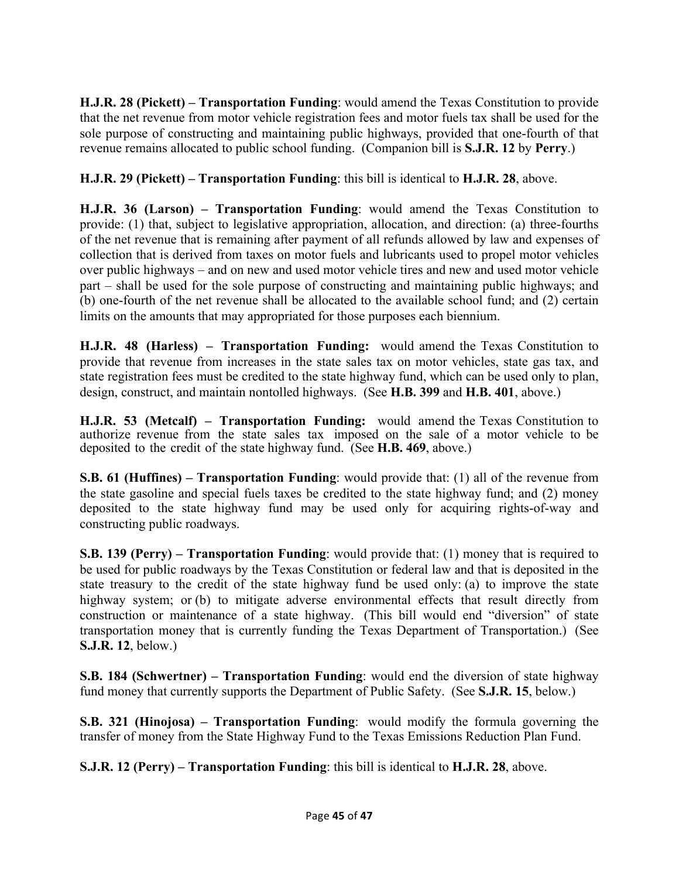**H.J.R. 28 (Pickett) – Transportation Funding**: would amend the Texas Constitution to provide that the net revenue from motor vehicle registration fees and motor fuels tax shall be used for the sole purpose of constructing and maintaining public highways, provided that one-fourth of that revenue remains allocated to public school funding. (Companion bill is **S.J.R. 12** by **Perry**.)

### **H.J.R. 29 (Pickett) – Transportation Funding**: this bill is identical to **H.J.R. 28**, above.

**H.J.R. 36 (Larson) – Transportation Funding**: would amend the Texas Constitution to provide: (1) that, subject to legislative appropriation, allocation, and direction: (a) three-fourths of the net revenue that is remaining after payment of all refunds allowed by law and expenses of collection that is derived from taxes on motor fuels and lubricants used to propel motor vehicles over public highways – and on new and used motor vehicle tires and new and used motor vehicle part – shall be used for the sole purpose of constructing and maintaining public highways; and (b) one-fourth of the net revenue shall be allocated to the available school fund; and (2) certain limits on the amounts that may appropriated for those purposes each biennium.

**H.J.R. 48 (Harless) – Transportation Funding:** would amend the Texas Constitution to provide that revenue from increases in the state sales tax on motor vehicles, state gas tax, and state registration fees must be credited to the state highway fund, which can be used only to plan, design, construct, and maintain nontolled highways. (See **H.B. 399** and **H.B. 401**, above.)

**H.J.R. 53 (Metcalf) – Transportation Funding:** would amend the Texas Constitution to authorize revenue from the state sales tax imposed on the sale of a motor vehicle to be deposited to the credit of the state highway fund. (See **H.B. 469**, above.)

**S.B. 61 (Huffines) – Transportation Funding**: would provide that: (1) all of the revenue from the state gasoline and special fuels taxes be credited to the state highway fund; and (2) money deposited to the state highway fund may be used only for acquiring rights-of-way and constructing public roadways.

**S.B. 139 (Perry) – Transportation Funding**: would provide that: (1) money that is required to be used for public roadways by the Texas Constitution or federal law and that is deposited in the state treasury to the credit of the state highway fund be used only: (a) to improve the state highway system; or (b) to mitigate adverse environmental effects that result directly from construction or maintenance of a state highway. (This bill would end "diversion" of state transportation money that is currently funding the Texas Department of Transportation.) (See **S.J.R. 12**, below.)

**S.B. 184 (Schwertner) – Transportation Funding**: would end the diversion of state highway fund money that currently supports the Department of Public Safety. (See **S.J.R. 15**, below.)

**S.B. 321 (Hinojosa) – Transportation Funding**: would modify the formula governing the transfer of money from the State Highway Fund to the Texas Emissions Reduction Plan Fund.

**S.J.R. 12 (Perry) – Transportation Funding**: this bill is identical to **H.J.R. 28**, above.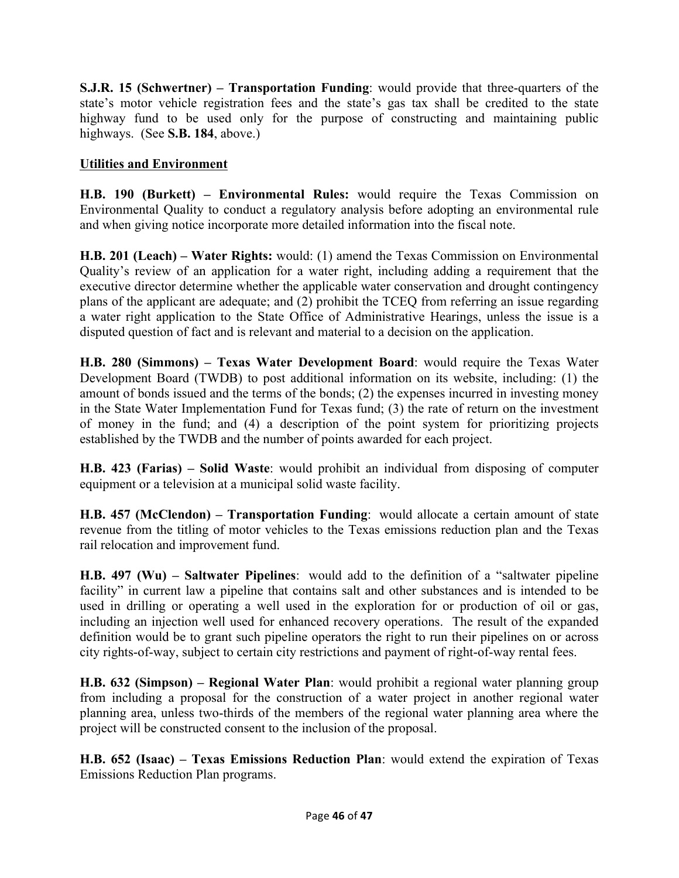**S.J.R. 15 (Schwertner) – Transportation Funding**: would provide that three-quarters of the state's motor vehicle registration fees and the state's gas tax shall be credited to the state highway fund to be used only for the purpose of constructing and maintaining public highways. (See **S.B. 184**, above.)

### **Utilities and Environment**

**H.B. 190 (Burkett) – Environmental Rules:** would require the Texas Commission on Environmental Quality to conduct a regulatory analysis before adopting an environmental rule and when giving notice incorporate more detailed information into the fiscal note.

**H.B. 201 (Leach) – Water Rights:** would: (1) amend the Texas Commission on Environmental Quality's review of an application for a water right, including adding a requirement that the executive director determine whether the applicable water conservation and drought contingency plans of the applicant are adequate; and (2) prohibit the TCEQ from referring an issue regarding a water right application to the State Office of Administrative Hearings, unless the issue is a disputed question of fact and is relevant and material to a decision on the application.

**H.B. 280 (Simmons) – Texas Water Development Board**: would require the Texas Water Development Board (TWDB) to post additional information on its website, including: (1) the amount of bonds issued and the terms of the bonds; (2) the expenses incurred in investing money in the State Water Implementation Fund for Texas fund; (3) the rate of return on the investment of money in the fund; and (4) a description of the point system for prioritizing projects established by the TWDB and the number of points awarded for each project.

**H.B. 423 (Farias) – Solid Waste**: would prohibit an individual from disposing of computer equipment or a television at a municipal solid waste facility.

**H.B. 457 (McClendon) – Transportation Funding**: would allocate a certain amount of state revenue from the titling of motor vehicles to the Texas emissions reduction plan and the Texas rail relocation and improvement fund.

**H.B. 497 (Wu) – Saltwater Pipelines**: would add to the definition of a "saltwater pipeline facility" in current law a pipeline that contains salt and other substances and is intended to be used in drilling or operating a well used in the exploration for or production of oil or gas, including an injection well used for enhanced recovery operations. The result of the expanded definition would be to grant such pipeline operators the right to run their pipelines on or across city rights-of-way, subject to certain city restrictions and payment of right-of-way rental fees. 

**H.B. 632 (Simpson) – Regional Water Plan**: would prohibit a regional water planning group from including a proposal for the construction of a water project in another regional water planning area, unless two-thirds of the members of the regional water planning area where the project will be constructed consent to the inclusion of the proposal.

**H.B. 652 (Isaac) – Texas Emissions Reduction Plan**: would extend the expiration of Texas Emissions Reduction Plan programs.